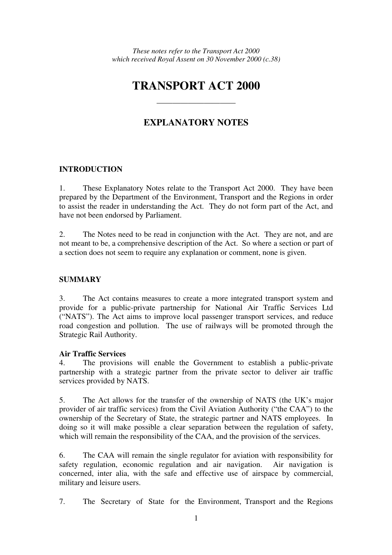# **TRANSPORT ACT 2000**

————————————————————

# **EXPLANATORY NOTES**

### **INTRODUCTION**

1. These Explanatory Notes relate to the Transport Act 2000. They have been prepared by the Department of the Environment, Transport and the Regions in order to assist the reader in understanding the Act. They do not form part of the Act, and have not been endorsed by Parliament.

2. The Notes need to be read in conjunction with the Act. They are not, and are not meant to be, a comprehensive description of the Act. So where a section or part of a section does not seem to require any explanation or comment, none is given.

#### **SUMMARY**

3. The Act contains measures to create a more integrated transport system and provide for a public-private partnership for National Air Traffic Services Ltd ("NATS"). The Act aims to improve local passenger transport services, and reduce road congestion and pollution. The use of railways will be promoted through the Strategic Rail Authority.

#### **Air Traffic Services**

4. The provisions will enable the Government to establish a public-private partnership with a strategic partner from the private sector to deliver air traffic services provided by NATS.

5. The Act allows for the transfer of the ownership of NATS (the UK's major provider of air traffic services) from the Civil Aviation Authority ("the CAA") to the ownership of the Secretary of State, the strategic partner and NATS employees. In doing so it will make possible a clear separation between the regulation of safety, which will remain the responsibility of the CAA, and the provision of the services.

6. The CAA will remain the single regulator for aviation with responsibility for safety regulation, economic regulation and air navigation. Air navigation is concerned, inter alia, with the safe and effective use of airspace by commercial, military and leisure users.

7. The Secretary of State for the Environment, Transport and the Regions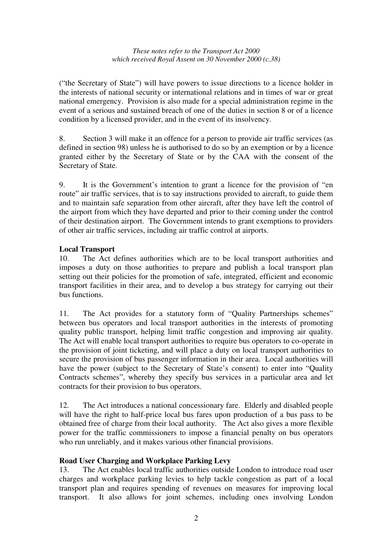("the Secretary of State") will have powers to issue directions to a licence holder in the interests of national security or international relations and in times of war or great national emergency. Provision is also made for a special administration regime in the event of a serious and sustained breach of one of the duties in section 8 or of a licence condition by a licensed provider, and in the event of its insolvency.

8. Section 3 will make it an offence for a person to provide air traffic services (as defined in section 98) unless he is authorised to do so by an exemption or by a licence granted either by the Secretary of State or by the CAA with the consent of the Secretary of State.

9. It is the Government's intention to grant a licence for the provision of "en route" air traffic services, that is to say instructions provided to aircraft, to guide them and to maintain safe separation from other aircraft, after they have left the control of the airport from which they have departed and prior to their coming under the control of their destination airport. The Government intends to grant exemptions to providers of other air traffic services, including air traffic control at airports.

## **Local Transport**

10. The Act defines authorities which are to be local transport authorities and imposes a duty on those authorities to prepare and publish a local transport plan setting out their policies for the promotion of safe, integrated, efficient and economic transport facilities in their area, and to develop a bus strategy for carrying out their bus functions.

11. The Act provides for a statutory form of "Quality Partnerships schemes" between bus operators and local transport authorities in the interests of promoting quality public transport, helping limit traffic congestion and improving air quality. The Act will enable local transport authorities to require bus operators to co-operate in the provision of joint ticketing, and will place a duty on local transport authorities to secure the provision of bus passenger information in their area. Local authorities will have the power (subject to the Secretary of State's consent) to enter into "Quality Contracts schemes", whereby they specify bus services in a particular area and let contracts for their provision to bus operators.

12. The Act introduces a national concessionary fare. Elderly and disabled people will have the right to half-price local bus fares upon production of a bus pass to be obtained free of charge from their local authority. The Act also gives a more flexible power for the traffic commissioners to impose a financial penalty on bus operators who run unreliably, and it makes various other financial provisions.

### **Road User Charging and Workplace Parking Levy**

13. The Act enables local traffic authorities outside London to introduce road user charges and workplace parking levies to help tackle congestion as part of a local transport plan and requires spending of revenues on measures for improving local transport. It also allows for joint schemes, including ones involving London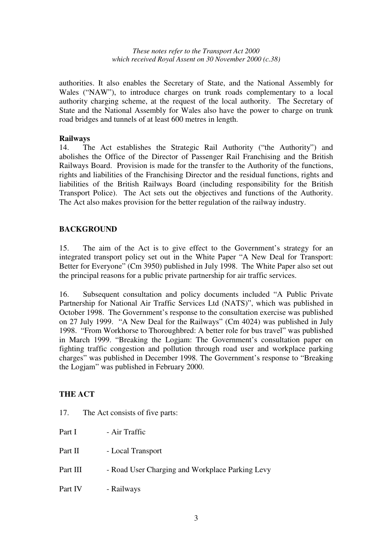authorities. It also enables the Secretary of State, and the National Assembly for Wales ("NAW"), to introduce charges on trunk roads complementary to a local authority charging scheme, at the request of the local authority. The Secretary of State and the National Assembly for Wales also have the power to charge on trunk road bridges and tunnels of at least 600 metres in length.

#### **Railways**

14. The Act establishes the Strategic Rail Authority ("the Authority") and abolishes the Office of the Director of Passenger Rail Franchising and the British Railways Board. Provision is made for the transfer to the Authority of the functions, rights and liabilities of the Franchising Director and the residual functions, rights and liabilities of the British Railways Board (including responsibility for the British Transport Police). The Act sets out the objectives and functions of the Authority. The Act also makes provision for the better regulation of the railway industry.

### **BACKGROUND**

15. The aim of the Act is to give effect to the Government's strategy for an integrated transport policy set out in the White Paper "A New Deal for Transport: Better for Everyone" (Cm 3950) published in July 1998. The White Paper also set out the principal reasons for a public private partnership for air traffic services.

16. Subsequent consultation and policy documents included "A Public Private Partnership for National Air Traffic Services Ltd (NATS)", which was published in October 1998. The Government's response to the consultation exercise was published on 27 July 1999. "A New Deal for the Railways" (Cm 4024) was published in July 1998. "From Workhorse to Thoroughbred: A better role for bus travel" was published in March 1999. "Breaking the Logjam: The Government's consultation paper on fighting traffic congestion and pollution through road user and workplace parking charges" was published in December 1998. The Government's response to "Breaking the Logjam" was published in February 2000.

### **THE ACT**

- 17. The Act consists of five parts:
- Part I Air Traffic
- Part II Local Transport
- Part III Road User Charging and Workplace Parking Levy
- Part IV Railways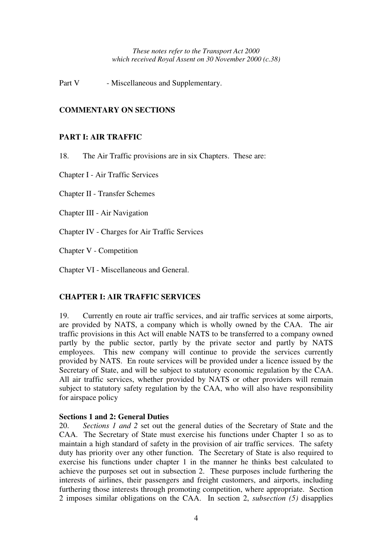Part V - Miscellaneous and Supplementary.

#### **COMMENTARY ON SECTIONS**

#### **PART I: AIR TRAFFIC**

18. The Air Traffic provisions are in six Chapters. These are:

Chapter I - Air Traffic Services

Chapter II - Transfer Schemes

Chapter III - Air Navigation

Chapter IV - Charges for Air Traffic Services

Chapter V - Competition

Chapter VI - Miscellaneous and General.

#### **CHAPTER I: AIR TRAFFIC SERVICES**

19. Currently en route air traffic services, and air traffic services at some airports, are provided by NATS, a company which is wholly owned by the CAA. The air traffic provisions in this Act will enable NATS to be transferred to a company owned partly by the public sector, partly by the private sector and partly by NATS employees. This new company will continue to provide the services currently provided by NATS. En route services will be provided under a licence issued by the Secretary of State, and will be subject to statutory economic regulation by the CAA. All air traffic services, whether provided by NATS or other providers will remain subject to statutory safety regulation by the CAA, who will also have responsibility for airspace policy

#### **Sections 1 and 2: General Duties**

20. *Sections 1 and 2* set out the general duties of the Secretary of State and the CAA. The Secretary of State must exercise his functions under Chapter 1 so as to maintain a high standard of safety in the provision of air traffic services. The safety duty has priority over any other function. The Secretary of State is also required to exercise his functions under chapter 1 in the manner he thinks best calculated to achieve the purposes set out in subsection 2. These purposes include furthering the interests of airlines, their passengers and freight customers, and airports, including furthering those interests through promoting competition, where appropriate. Section 2 imposes similar obligations on the CAA. In section 2, *subsection (5)* disapplies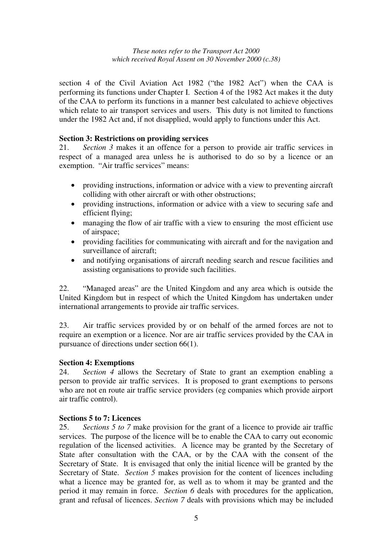section 4 of the Civil Aviation Act 1982 ("the 1982 Act") when the CAA is performing its functions under Chapter I. Section 4 of the 1982 Act makes it the duty of the CAA to perform its functions in a manner best calculated to achieve objectives which relate to air transport services and users. This duty is not limited to functions under the 1982 Act and, if not disapplied, would apply to functions under this Act.

#### **Section 3: Restrictions on providing services**

21. *Section 3* makes it an offence for a person to provide air traffic services in respect of a managed area unless he is authorised to do so by a licence or an exemption. "Air traffic services" means:

- providing instructions, information or advice with a view to preventing aircraft colliding with other aircraft or with other obstructions;
- providing instructions, information or advice with a view to securing safe and efficient flying;
- managing the flow of air traffic with a view to ensuring the most efficient use of airspace;
- providing facilities for communicating with aircraft and for the navigation and surveillance of aircraft;
- and notifying organisations of aircraft needing search and rescue facilities and assisting organisations to provide such facilities.

22. "Managed areas" are the United Kingdom and any area which is outside the United Kingdom but in respect of which the United Kingdom has undertaken under international arrangements to provide air traffic services.

23. Air traffic services provided by or on behalf of the armed forces are not to require an exemption or a licence. Nor are air traffic services provided by the CAA in pursuance of directions under section 66(1).

### **Section 4: Exemptions**

24. *Section 4* allows the Secretary of State to grant an exemption enabling a person to provide air traffic services. It is proposed to grant exemptions to persons who are not en route air traffic service providers (eg companies which provide airport air traffic control).

#### **Sections 5 to 7: Licences**

25. *Sections 5 to 7* make provision for the grant of a licence to provide air traffic services. The purpose of the licence will be to enable the CAA to carry out economic regulation of the licensed activities. A licence may be granted by the Secretary of State after consultation with the CAA, or by the CAA with the consent of the Secretary of State. It is envisaged that only the initial licence will be granted by the Secretary of State. *Section 5* makes provision for the content of licences including what a licence may be granted for, as well as to whom it may be granted and the period it may remain in force. *Section 6* deals with procedures for the application, grant and refusal of licences. *Section 7* deals with provisions which may be included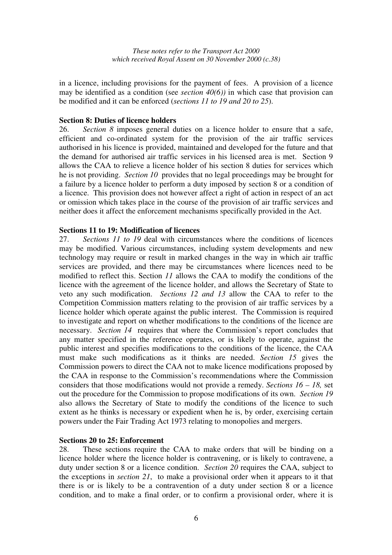in a licence, including provisions for the payment of fees. A provision of a licence may be identified as a condition (see *section 40(6))* in which case that provision can be modified and it can be enforced (*sections 11 to 19 and 20 to 25*).

#### **Section 8: Duties of licence holders**

26. *Section 8* imposes general duties on a licence holder to ensure that a safe, efficient and co-ordinated system for the provision of the air traffic services authorised in his licence is provided, maintained and developed for the future and that the demand for authorised air traffic services in his licensed area is met. Section 9 allows the CAA to relieve a licence holder of his section 8 duties for services which he is not providing. *Section 10* provides that no legal proceedings may be brought for a failure by a licence holder to perform a duty imposed by section 8 or a condition of a licence. This provision does not however affect a right of action in respect of an act or omission which takes place in the course of the provision of air traffic services and neither does it affect the enforcement mechanisms specifically provided in the Act.

#### **Sections 11 to 19: Modification of licences**

27. *Sections 11 to 19* deal with circumstances where the conditions of licences may be modified. Various circumstances, including system developments and new technology may require or result in marked changes in the way in which air traffic services are provided, and there may be circumstances where licences need to be modified to reflect this. Section *11* allows the CAA to modify the conditions of the licence with the agreement of the licence holder, and allows the Secretary of State to veto any such modification. *Sections 12 and 13* allow the CAA to refer to the Competition Commission matters relating to the provision of air traffic services by a licence holder which operate against the public interest. The Commission is required to investigate and report on whether modifications to the conditions of the licence are necessary. *Section 14* requires that where the Commission's report concludes that any matter specified in the reference operates, or is likely to operate, against the public interest and specifies modifications to the conditions of the licence, the CAA must make such modifications as it thinks are needed. *Section 15* gives the Commission powers to direct the CAA not to make licence modifications proposed by the CAA in response to the Commission's recommendations where the Commission considers that those modifications would not provide a remedy. *Sections 16 – 18,* set out the procedure for the Commission to propose modifications of its own. *Section 19* also allows the Secretary of State to modify the conditions of the licence to such extent as he thinks is necessary or expedient when he is, by order, exercising certain powers under the Fair Trading Act 1973 relating to monopolies and mergers.

#### **Sections 20 to 25: Enforcement**

28. These sections require the CAA to make orders that will be binding on a licence holder where the licence holder is contravening, or is likely to contravene, a duty under section 8 or a licence condition. *Section 20* requires the CAA, subject to the exceptions in *section 21*, to make a provisional order when it appears to it that there is or is likely to be a contravention of a duty under section 8 or a licence condition, and to make a final order, or to confirm a provisional order, where it is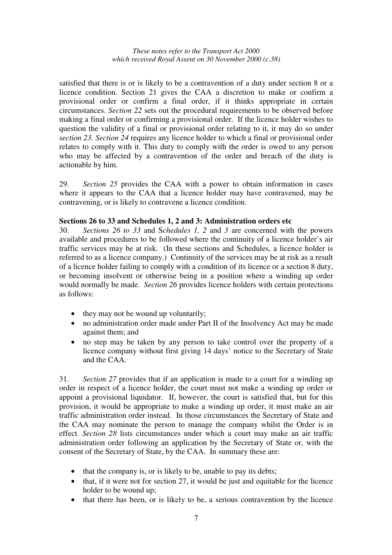satisfied that there is or is likely to be a contravention of a duty under section 8 or a licence condition. Section 21 gives the CAA a discretion to make or confirm a provisional order or confirm a final order, if it thinks appropriate in certain circumstances. *Section 22* sets out the procedural requirements to be observed before making a final order or confirming a provisional order. If the licence holder wishes to question the validity of a final or provisional order relating to it, it may do so under *section 23. Section 24* requires any licence holder to which a final or provisional order relates to comply with it. This duty to comply with the order is owed to any person who may be affected by a contravention of the order and breach of the duty is actionable by him.

29. *Section 25* provides the CAA with a power to obtain information in cases where it appears to the CAA that a licence holder may have contravened, may be contravening, or is likely to contravene a licence condition.

#### **Sections 26 to 33 and Schedules 1, 2 and 3: Administration orders etc**

30. *Sections 26 to 33* and S*chedules 1, 2* and *3* are concerned with the powers available and procedures to be followed where the continuity of a licence holder's air traffic services may be at risk. (In these sections and Schedules, a licence holder is referred to as a licence company.) Continuity of the services may be at risk as a result of a licence holder failing to comply with a condition of its licence or a section 8 duty, or becoming insolvent or otherwise being in a position where a winding up order would normally be made. *Section 26* provides licence holders with certain protections as follows:

- they may not be wound up voluntarily;
- no administration order made under Part II of the Insolvency Act may be made against them; and
- no step may be taken by any person to take control over the property of a licence company without first giving 14 days' notice to the Secretary of State and the CAA.

31. *Section 27* provides that if an application is made to a court for a winding up order in respect of a licence holder, the court must not make a winding up order or appoint a provisional liquidator. If, however, the court is satisfied that, but for this provision, it would be appropriate to make a winding up order, it must make an air traffic administration order instead. In those circumstances the Secretary of State and the CAA may nominate the person to manage the company whilst the Order is in effect. *Section 28* lists circumstances under which a court may make an air traffic administration order following an application by the Secretary of State or, with the consent of the Secretary of State, by the CAA. In summary these are:

- that the company is, or is likely to be, unable to pay its debts;
- that, if it were not for section 27, it would be just and equitable for the licence holder to be wound up;
- that there has been, or is likely to be, a serious contravention by the licence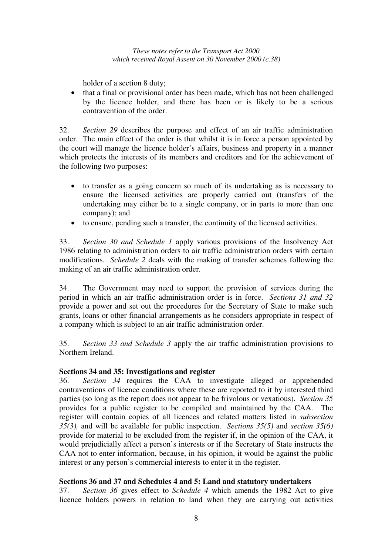holder of a section 8 duty;

• that a final or provisional order has been made, which has not been challenged by the licence holder, and there has been or is likely to be a serious contravention of the order.

32. *Section 29* describes the purpose and effect of an air traffic administration order. The main effect of the order is that whilst it is in force a person appointed by the court will manage the licence holder's affairs, business and property in a manner which protects the interests of its members and creditors and for the achievement of the following two purposes:

- to transfer as a going concern so much of its undertaking as is necessary to ensure the licensed activities are properly carried out (transfers of the undertaking may either be to a single company, or in parts to more than one company); and
- to ensure, pending such a transfer, the continuity of the licensed activities.

33. *Section 30 and Schedule 1* apply various provisions of the Insolvency Act 1986 relating to administration orders to air traffic administration orders with certain modifications. *Schedule 2* deals with the making of transfer schemes following the making of an air traffic administration order.

34. The Government may need to support the provision of services during the period in which an air traffic administration order is in force. *Sections 31 and 32* provide a power and set out the procedures for the Secretary of State to make such grants, loans or other financial arrangements as he considers appropriate in respect of a company which is subject to an air traffic administration order.

35. *Section 33 and Schedule 3* apply the air traffic administration provisions to Northern Ireland.

#### **Sections 34 and 35: Investigations and register**

36. *Section 34* requires the CAA to investigate alleged or apprehended contraventions of licence conditions where these are reported to it by interested third parties (so long as the report does not appear to be frivolous or vexatious). *Section 35* provides for a public register to be compiled and maintained by the CAA. The register will contain copies of all licences and related matters listed in *subsection 35(3),* and will be available for public inspection. *Sections 35(5)* and *section 35(6)* provide for material to be excluded from the register if, in the opinion of the CAA, it would prejudicially affect a person's interests or if the Secretary of State instructs the CAA not to enter information, because, in his opinion, it would be against the public interest or any person's commercial interests to enter it in the register.

#### **Sections 36 and 37 and Schedules 4 and 5: Land and statutory undertakers**

37. *Section 36* gives effect to *Schedule 4* which amends the 1982 Act to give licence holders powers in relation to land when they are carrying out activities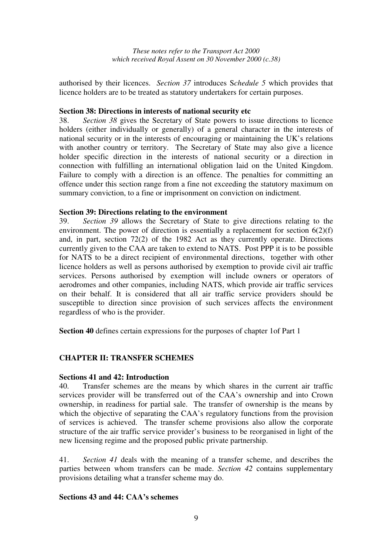authorised by their licences. *Section 37* introduces S*chedule 5* which provides that licence holders are to be treated as statutory undertakers for certain purposes.

#### **Section 38: Directions in interests of national security etc**

38. *Section 38* gives the Secretary of State powers to issue directions to licence holders (either individually or generally) of a general character in the interests of national security or in the interests of encouraging or maintaining the UK's relations with another country or territory. The Secretary of State may also give a licence holder specific direction in the interests of national security or a direction in connection with fulfilling an international obligation laid on the United Kingdom. Failure to comply with a direction is an offence. The penalties for committing an offence under this section range from a fine not exceeding the statutory maximum on summary conviction, to a fine or imprisonment on conviction on indictment.

#### **Section 39: Directions relating to the environment**

39. *Section 39* allows the Secretary of State to give directions relating to the environment. The power of direction is essentially a replacement for section  $6(2)(f)$ and, in part, section 72(2) of the 1982 Act as they currently operate. Directions currently given to the CAA are taken to extend to NATS. Post PPP it is to be possible for NATS to be a direct recipient of environmental directions, together with other licence holders as well as persons authorised by exemption to provide civil air traffic services. Persons authorised by exemption will include owners or operators of aerodromes and other companies, including NATS, which provide air traffic services on their behalf. It is considered that all air traffic service providers should be susceptible to direction since provision of such services affects the environment regardless of who is the provider.

**Section 40** defines certain expressions for the purposes of chapter 1of Part 1

### **CHAPTER II: TRANSFER SCHEMES**

#### **Sections 41 and 42: Introduction**

40. Transfer schemes are the means by which shares in the current air traffic services provider will be transferred out of the CAA's ownership and into Crown ownership, in readiness for partial sale. The transfer of ownership is the means by which the objective of separating the CAA's regulatory functions from the provision of services is achieved. The transfer scheme provisions also allow the corporate structure of the air traffic service provider's business to be reorganised in light of the new licensing regime and the proposed public private partnership.

41. *Section 41* deals with the meaning of a transfer scheme, and describes the parties between whom transfers can be made. *Section 42* contains supplementary provisions detailing what a transfer scheme may do.

#### **Sections 43 and 44: CAA's schemes**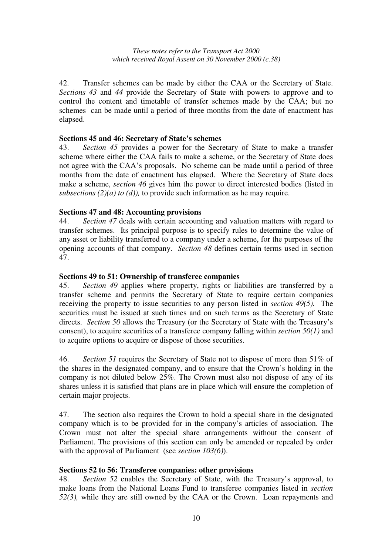42. Transfer schemes can be made by either the CAA or the Secretary of State. *Sections 43* and *44* provide the Secretary of State with powers to approve and to control the content and timetable of transfer schemes made by the CAA; but no schemes can be made until a period of three months from the date of enactment has elapsed.

#### **Sections 45 and 46: Secretary of State's schemes**

43. *Section 45* provides a power for the Secretary of State to make a transfer scheme where either the CAA fails to make a scheme, or the Secretary of State does not agree with the CAA's proposals. No scheme can be made until a period of three months from the date of enactment has elapsed. Where the Secretary of State does make a scheme, *section 46* gives him the power to direct interested bodies (listed in *subsections (2)(a) to (d)),* to provide such information as he may require.

#### **Sections 47 and 48: Accounting provisions**

44. *Section 47* deals with certain accounting and valuation matters with regard to transfer schemes. Its principal purpose is to specify rules to determine the value of any asset or liability transferred to a company under a scheme, for the purposes of the opening accounts of that company. *Section 48* defines certain terms used in section 47.

#### **Sections 49 to 51: Ownership of transferee companies**

45. *Section 49* applies where property, rights or liabilities are transferred by a transfer scheme and permits the Secretary of State to require certain companies receiving the property to issue securities to any person listed in *section 49(5).* The securities must be issued at such times and on such terms as the Secretary of State directs. *Section 50* allows the Treasury (or the Secretary of State with the Treasury's consent), to acquire securities of a transferee company falling within *section 50(1)* and to acquire options to acquire or dispose of those securities.

46. *Section 51* requires the Secretary of State not to dispose of more than 51% of the shares in the designated company, and to ensure that the Crown's holding in the company is not diluted below 25%. The Crown must also not dispose of any of its shares unless it is satisfied that plans are in place which will ensure the completion of certain major projects.

47. The section also requires the Crown to hold a special share in the designated company which is to be provided for in the company's articles of association. The Crown must not alter the special share arrangements without the consent of Parliament. The provisions of this section can only be amended or repealed by order with the approval of Parliament (see *section 103(6)*).

#### **Sections 52 to 56: Transferee companies: other provisions**

48. *Section 52* enables the Secretary of State, with the Treasury's approval, to make loans from the National Loans Fund to transferee companies listed in *section 52(3),* while they are still owned by the CAA or the Crown. Loan repayments and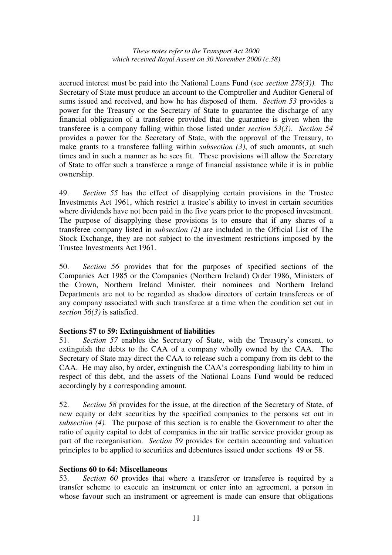accrued interest must be paid into the National Loans Fund (see *section 278(3)).* The Secretary of State must produce an account to the Comptroller and Auditor General of sums issued and received, and how he has disposed of them. *Section 53* provides a power for the Treasury or the Secretary of State to guarantee the discharge of any financial obligation of a transferee provided that the guarantee is given when the transferee is a company falling within those listed under *section 53(3). Section 54* provides a power for the Secretary of State, with the approval of the Treasury, to make grants to a transferee falling within *subsection (3)*, of such amounts, at such times and in such a manner as he sees fit. These provisions will allow the Secretary of State to offer such a transferee a range of financial assistance while it is in public ownership.

49. *Section 55* has the effect of disapplying certain provisions in the Trustee Investments Act 1961, which restrict a trustee's ability to invest in certain securities where dividends have not been paid in the five years prior to the proposed investment. The purpose of disapplying these provisions is to ensure that if any shares of a transferee company listed in *subsection (2)* are included in the Official List of The Stock Exchange, they are not subject to the investment restrictions imposed by the Trustee Investments Act 1961.

50. *Section 56* provides that for the purposes of specified sections of the Companies Act 1985 or the Companies (Northern Ireland) Order 1986, Ministers of the Crown, Northern Ireland Minister, their nominees and Northern Ireland Departments are not to be regarded as shadow directors of certain transferees or of any company associated with such transferee at a time when the condition set out in *section 56(3)* is satisfied.

#### **Sections 57 to 59: Extinguishment of liabilities**

51. *Section 57* enables the Secretary of State, with the Treasury's consent, to extinguish the debts to the CAA of a company wholly owned by the CAA. The Secretary of State may direct the CAA to release such a company from its debt to the CAA. He may also, by order, extinguish the CAA's corresponding liability to him in respect of this debt, and the assets of the National Loans Fund would be reduced accordingly by a corresponding amount.

52. *Section 58* provides for the issue, at the direction of the Secretary of State, of new equity or debt securities by the specified companies to the persons set out in *subsection (4).* The purpose of this section is to enable the Government to alter the ratio of equity capital to debt of companies in the air traffic service provider group as part of the reorganisation. *Section 59* provides for certain accounting and valuation principles to be applied to securities and debentures issued under sections 49 or 58.

#### **Sections 60 to 64: Miscellaneous**

53. *Section 60* provides that where a transferor or transferee is required by a transfer scheme to execute an instrument or enter into an agreement, a person in whose favour such an instrument or agreement is made can ensure that obligations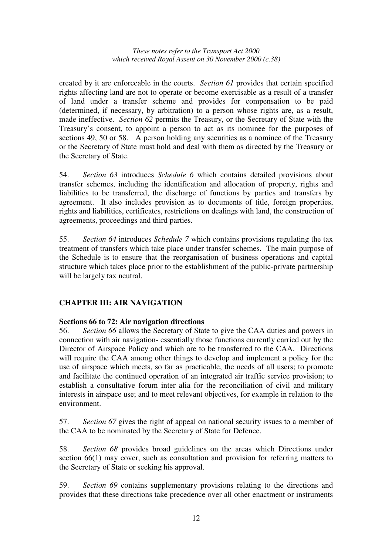created by it are enforceable in the courts. *Section 61* provides that certain specified rights affecting land are not to operate or become exercisable as a result of a transfer of land under a transfer scheme and provides for compensation to be paid (determined, if necessary, by arbitration) to a person whose rights are, as a result, made ineffective. *Section 62* permits the Treasury, or the Secretary of State with the Treasury's consent, to appoint a person to act as its nominee for the purposes of sections 49, 50 or 58. A person holding any securities as a nominee of the Treasury or the Secretary of State must hold and deal with them as directed by the Treasury or the Secretary of State.

54. *Section 63* introduces *Schedule 6* which contains detailed provisions about transfer schemes, including the identification and allocation of property, rights and liabilities to be transferred, the discharge of functions by parties and transfers by agreement. It also includes provision as to documents of title, foreign properties, rights and liabilities, certificates, restrictions on dealings with land, the construction of agreements, proceedings and third parties.

55. *Section 64* introduces *Schedule 7* which contains provisions regulating the tax treatment of transfers which take place under transfer schemes. The main purpose of the Schedule is to ensure that the reorganisation of business operations and capital structure which takes place prior to the establishment of the public-private partnership will be largely tax neutral.

### **CHAPTER III: AIR NAVIGATION**

### **Sections 66 to 72: Air navigation directions**

56. *Section 66* allows the Secretary of State to give the CAA duties and powers in connection with air navigation- essentially those functions currently carried out by the Director of Airspace Policy and which are to be transferred to the CAA. Directions will require the CAA among other things to develop and implement a policy for the use of airspace which meets, so far as practicable, the needs of all users; to promote and facilitate the continued operation of an integrated air traffic service provision; to establish a consultative forum inter alia for the reconciliation of civil and military interests in airspace use; and to meet relevant objectives, for example in relation to the environment.

57. *Section 67* gives the right of appeal on national security issues to a member of the CAA to be nominated by the Secretary of State for Defence.

58. *Section 68* provides broad guidelines on the areas which Directions under section 66(1) may cover, such as consultation and provision for referring matters to the Secretary of State or seeking his approval.

59. *Section 69* contains supplementary provisions relating to the directions and provides that these directions take precedence over all other enactment or instruments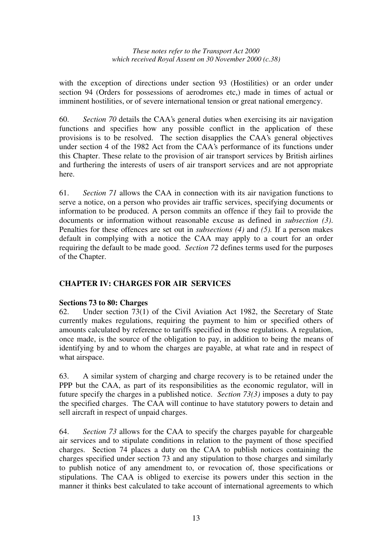with the exception of directions under section 93 (Hostilities) or an order under section 94 (Orders for possessions of aerodromes etc,) made in times of actual or imminent hostilities, or of severe international tension or great national emergency.

60. *Section 70* details the CAA's general duties when exercising its air navigation functions and specifies how any possible conflict in the application of these provisions is to be resolved. The section disapplies the CAA's general objectives under section 4 of the 1982 Act from the CAA's performance of its functions under this Chapter. These relate to the provision of air transport services by British airlines and furthering the interests of users of air transport services and are not appropriate here.

61. *Section 71* allows the CAA in connection with its air navigation functions to serve a notice, on a person who provides air traffic services, specifying documents or information to be produced. A person commits an offence if they fail to provide the documents or information without reasonable excuse as defined in *subsection (3)*. Penalties for these offences are set out in *subsections (4)* and *(5).* If a person makes default in complying with a notice the CAA may apply to a court for an order requiring the default to be made good. *Section 72* defines terms used for the purposes of the Chapter.

### **CHAPTER IV: CHARGES FOR AIR SERVICES**

#### **Sections 73 to 80: Charges**

62. Under section 73(1) of the Civil Aviation Act 1982, the Secretary of State currently makes regulations, requiring the payment to him or specified others of amounts calculated by reference to tariffs specified in those regulations. A regulation, once made, is the source of the obligation to pay, in addition to being the means of identifying by and to whom the charges are payable, at what rate and in respect of what airspace.

63. A similar system of charging and charge recovery is to be retained under the PPP but the CAA, as part of its responsibilities as the economic regulator, will in future specify the charges in a published notice. *Section 73(3)* imposes a duty to pay the specified charges. The CAA will continue to have statutory powers to detain and sell aircraft in respect of unpaid charges.

64. *Section 73* allows for the CAA to specify the charges payable for chargeable air services and to stipulate conditions in relation to the payment of those specified charges. Section 74 places a duty on the CAA to publish notices containing the charges specified under section 73 and any stipulation to those charges and similarly to publish notice of any amendment to, or revocation of, those specifications or stipulations. The CAA is obliged to exercise its powers under this section in the manner it thinks best calculated to take account of international agreements to which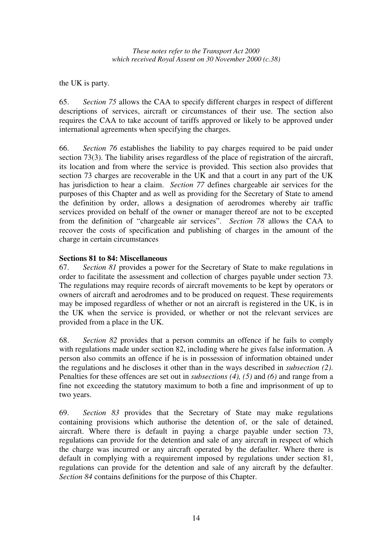the UK is party.

65. *Section 75* allows the CAA to specify different charges in respect of different descriptions of services, aircraft or circumstances of their use. The section also requires the CAA to take account of tariffs approved or likely to be approved under international agreements when specifying the charges.

66. *Section 76* establishes the liability to pay charges required to be paid under section 73(3). The liability arises regardless of the place of registration of the aircraft, its location and from where the service is provided. This section also provides that section 73 charges are recoverable in the UK and that a court in any part of the UK has jurisdiction to hear a claim. *Section 77* defines chargeable air services for the purposes of this Chapter and as well as providing for the Secretary of State to amend the definition by order, allows a designation of aerodromes whereby air traffic services provided on behalf of the owner or manager thereof are not to be excepted from the definition of "chargeable air services". *Section 78* allows the CAA to recover the costs of specification and publishing of charges in the amount of the charge in certain circumstances

### **Sections 81 to 84: Miscellaneous**

67. *Section 81* provides a power for the Secretary of State to make regulations in order to facilitate the assessment and collection of charges payable under section 73. The regulations may require records of aircraft movements to be kept by operators or owners of aircraft and aerodromes and to be produced on request. These requirements may be imposed regardless of whether or not an aircraft is registered in the UK, is in the UK when the service is provided, or whether or not the relevant services are provided from a place in the UK.

68. *Section 82* provides that a person commits an offence if he fails to comply with regulations made under section 82, including where he gives false information. A person also commits an offence if he is in possession of information obtained under the regulations and he discloses it other than in the ways described in *subsection (2)*. Penalties for these offences are set out in *subsections (4), (5)* and *(6)* and range from a fine not exceeding the statutory maximum to both a fine and imprisonment of up to two years.

69. *Section 83* provides that the Secretary of State may make regulations containing provisions which authorise the detention of, or the sale of detained, aircraft. Where there is default in paying a charge payable under section 73, regulations can provide for the detention and sale of any aircraft in respect of which the charge was incurred or any aircraft operated by the defaulter. Where there is default in complying with a requirement imposed by regulations under section 81, regulations can provide for the detention and sale of any aircraft by the defaulter. *Section 84* contains definitions for the purpose of this Chapter.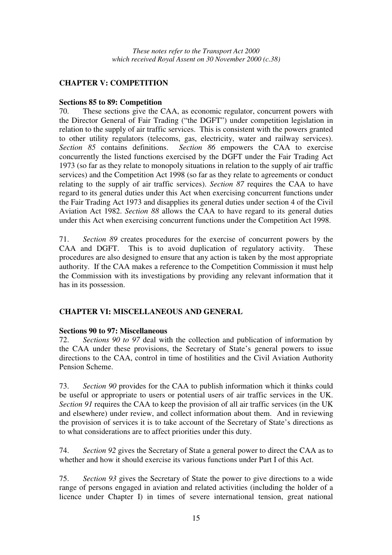### **CHAPTER V: COMPETITION**

#### **Sections 85 to 89: Competition**

70. These sections give the CAA, as economic regulator, concurrent powers with the Director General of Fair Trading ("the DGFT") under competition legislation in relation to the supply of air traffic services. This is consistent with the powers granted to other utility regulators (telecoms, gas, electricity, water and railway services). *Section 85* contains definitions. *Section 86* empowers the CAA to exercise concurrently the listed functions exercised by the DGFT under the Fair Trading Act 1973 (so far as they relate to monopoly situations in relation to the supply of air traffic services) and the Competition Act 1998 (so far as they relate to agreements or conduct relating to the supply of air traffic services). *Section 87* requires the CAA to have regard to its general duties under this Act when exercising concurrent functions under the Fair Trading Act 1973 and disapplies its general duties under section 4 of the Civil Aviation Act 1982. *Section 88* allows the CAA to have regard to its general duties under this Act when exercising concurrent functions under the Competition Act 1998.

71. *Section 89* creates procedures for the exercise of concurrent powers by the CAA and DGFT. This is to avoid duplication of regulatory activity. These procedures are also designed to ensure that any action is taken by the most appropriate authority. If the CAA makes a reference to the Competition Commission it must help the Commission with its investigations by providing any relevant information that it has in its possession.

### **CHAPTER VI: MISCELLANEOUS AND GENERAL**

### **Sections 90 to 97: Miscellaneous**

72. *Sections 90 to 97* deal with the collection and publication of information by the CAA under these provisions, the Secretary of State's general powers to issue directions to the CAA, control in time of hostilities and the Civil Aviation Authority Pension Scheme.

73. *Section 90* provides for the CAA to publish information which it thinks could be useful or appropriate to users or potential users of air traffic services in the UK. *Section 91* requires the CAA to keep the provision of all air traffic services (in the UK and elsewhere) under review, and collect information about them. And in reviewing the provision of services it is to take account of the Secretary of State's directions as to what considerations are to affect priorities under this duty.

74. *Section 92* gives the Secretary of State a general power to direct the CAA as to whether and how it should exercise its various functions under Part I of this Act.

75. *Section 93* gives the Secretary of State the power to give directions to a wide range of persons engaged in aviation and related activities (including the holder of a licence under Chapter I) in times of severe international tension, great national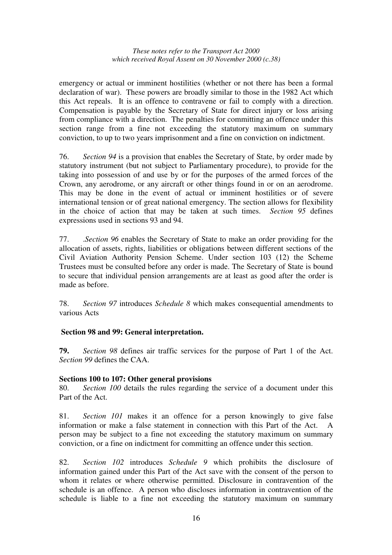emergency or actual or imminent hostilities (whether or not there has been a formal declaration of war). These powers are broadly similar to those in the 1982 Act which this Act repeals. It is an offence to contravene or fail to comply with a direction. Compensation is payable by the Secretary of State for direct injury or loss arising from compliance with a direction. The penalties for committing an offence under this section range from a fine not exceeding the statutory maximum on summary conviction, to up to two years imprisonment and a fine on conviction on indictment.

76. *Section 94* is a provision that enables the Secretary of State, by order made by statutory instrument (but not subject to Parliamentary procedure), to provide for the taking into possession of and use by or for the purposes of the armed forces of the Crown, any aerodrome, or any aircraft or other things found in or on an aerodrome. This may be done in the event of actual or imminent hostilities or of severe international tension or of great national emergency. The section allows for flexibility in the choice of action that may be taken at such times. *Section 95* defines expressions used in sections 93 and 94.

77. .*Section 96* enables the Secretary of State to make an order providing for the allocation of assets, rights, liabilities or obligations between different sections of the Civil Aviation Authority Pension Scheme. Under section 103 (12) the Scheme Trustees must be consulted before any order is made. The Secretary of State is bound to secure that individual pension arrangements are at least as good after the order is made as before.

78. *Section 97* introduces *Schedule 8* which makes consequential amendments to various Acts

### **Section 98 and 99: General interpretation.**

**79.** *Section 98* defines air traffic services for the purpose of Part 1 of the Act. *Section 99* defines the CAA.

### **Sections 100 to 107: Other general provisions**

80. *Section 100* details the rules regarding the service of a document under this Part of the Act.

81. *Section 101* makes it an offence for a person knowingly to give false information or make a false statement in connection with this Part of the Act. person may be subject to a fine not exceeding the statutory maximum on summary conviction, or a fine on indictment for committing an offence under this section.

82. *Section 102* introduces *Schedule 9* which prohibits the disclosure of information gained under this Part of the Act save with the consent of the person to whom it relates or where otherwise permitted. Disclosure in contravention of the schedule is an offence. A person who discloses information in contravention of the schedule is liable to a fine not exceeding the statutory maximum on summary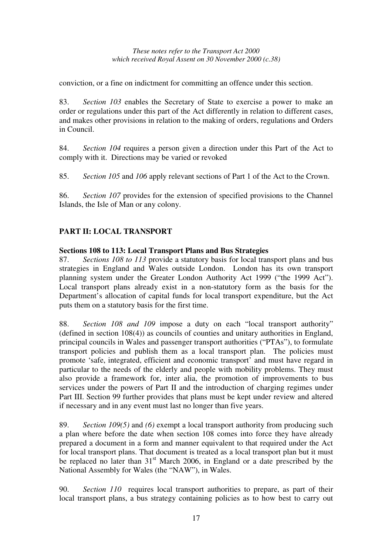conviction, or a fine on indictment for committing an offence under this section.

83. *Section 103* enables the Secretary of State to exercise a power to make an order or regulations under this part of the Act differently in relation to different cases, and makes other provisions in relation to the making of orders, regulations and Orders in Council.

84. *Section 104* requires a person given a direction under this Part of the Act to comply with it. Directions may be varied or revoked

85. *Section 105* and *106* apply relevant sections of Part 1 of the Act to the Crown.

86. *Section 107* provides for the extension of specified provisions to the Channel Islands, the Isle of Man or any colony.

### **PART II: LOCAL TRANSPORT**

#### **Sections 108 to 113: Local Transport Plans and Bus Strategies**

87. *Sections 108 to 113* provide a statutory basis for local transport plans and bus strategies in England and Wales outside London. London has its own transport planning system under the Greater London Authority Act 1999 ("the 1999 Act"). Local transport plans already exist in a non-statutory form as the basis for the Department's allocation of capital funds for local transport expenditure, but the Act puts them on a statutory basis for the first time.

88. *Section 108 and 109* impose a duty on each "local transport authority" (defined in section 108(4)) as councils of counties and unitary authorities in England, principal councils in Wales and passenger transport authorities ("PTAs"), to formulate transport policies and publish them as a local transport plan. The policies must promote 'safe, integrated, efficient and economic transport' and must have regard in particular to the needs of the elderly and people with mobility problems. They must also provide a framework for, inter alia, the promotion of improvements to bus services under the powers of Part II and the introduction of charging regimes under Part III. Section 99 further provides that plans must be kept under review and altered if necessary and in any event must last no longer than five years.

89. *Section 109(5)* and *(6)* exempt a local transport authority from producing such a plan where before the date when section 108 comes into force they have already prepared a document in a form and manner equivalent to that required under the Act for local transport plans. That document is treated as a local transport plan but it must be replaced no later than 31<sup>st</sup> March 2006, in England or a date prescribed by the National Assembly for Wales (the "NAW"), in Wales.

90. *Section 110* requires local transport authorities to prepare, as part of their local transport plans, a bus strategy containing policies as to how best to carry out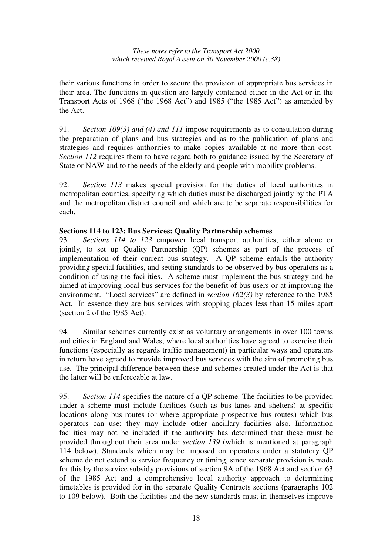their various functions in order to secure the provision of appropriate bus services in their area. The functions in question are largely contained either in the Act or in the Transport Acts of 1968 ("the 1968 Act") and 1985 ("the 1985 Act") as amended by the Act.

91. *Section 109(3) and (4) and 111* impose requirements as to consultation during the preparation of plans and bus strategies and as to the publication of plans and strategies and requires authorities to make copies available at no more than cost. *Section 112* requires them to have regard both to guidance issued by the Secretary of State or NAW and to the needs of the elderly and people with mobility problems.

92. *Section 113* makes special provision for the duties of local authorities in metropolitan counties, specifying which duties must be discharged jointly by the PTA and the metropolitan district council and which are to be separate responsibilities for each.

### **Sections 114 to 123: Bus Services: Quality Partnership schemes**

93. *Sections 114 to 123* empower local transport authorities, either alone or jointly, to set up Quality Partnership (QP) schemes as part of the process of implementation of their current bus strategy. A QP scheme entails the authority providing special facilities, and setting standards to be observed by bus operators as a condition of using the facilities. A scheme must implement the bus strategy and be aimed at improving local bus services for the benefit of bus users or at improving the environment. "Local services" are defined in *section 162(3)* by reference to the 1985 Act. In essence they are bus services with stopping places less than 15 miles apart (section 2 of the 1985 Act).

94. Similar schemes currently exist as voluntary arrangements in over 100 towns and cities in England and Wales, where local authorities have agreed to exercise their functions (especially as regards traffic management) in particular ways and operators in return have agreed to provide improved bus services with the aim of promoting bus use. The principal difference between these and schemes created under the Act is that the latter will be enforceable at law.

95. *Section 114* specifies the nature of a QP scheme. The facilities to be provided under a scheme must include facilities (such as bus lanes and shelters) at specific locations along bus routes (or where appropriate prospective bus routes) which bus operators can use; they may include other ancillary facilities also. Information facilities may not be included if the authority has determined that these must be provided throughout their area under *section 139* (which is mentioned at paragraph 114 below). Standards which may be imposed on operators under a statutory QP scheme do not extend to service frequency or timing, since separate provision is made for this by the service subsidy provisions of section 9A of the 1968 Act and section 63 of the 1985 Act and a comprehensive local authority approach to determining timetables is provided for in the separate Quality Contracts sections (paragraphs 102 to 109 below). Both the facilities and the new standards must in themselves improve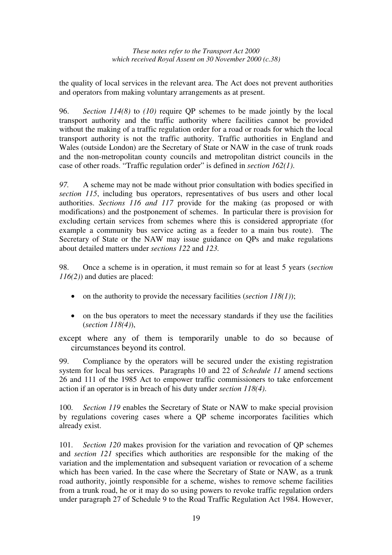the quality of local services in the relevant area. The Act does not prevent authorities and operators from making voluntary arrangements as at present.

96. *Section 114(8)* to *(10)* require QP schemes to be made jointly by the local transport authority and the traffic authority where facilities cannot be provided without the making of a traffic regulation order for a road or roads for which the local transport authority is not the traffic authority. Traffic authorities in England and Wales (outside London) are the Secretary of State or NAW in the case of trunk roads and the non-metropolitan county councils and metropolitan district councils in the case of other roads. "Traffic regulation order" is defined in *section 162(1)*.

*97.* A scheme may not be made without prior consultation with bodies specified in *section 115*, including bus operators, representatives of bus users and other local authorities. *Sections 116 and 117* provide for the making (as proposed or with modifications) and the postponement of schemes. In particular there is provision for excluding certain services from schemes where this is considered appropriate (for example a community bus service acting as a feeder to a main bus route). The Secretary of State or the NAW may issue guidance on QPs and make regulations about detailed matters under *sections 122* and *123.*

98. Once a scheme is in operation, it must remain so for at least 5 years (*section 116(2)*) and duties are placed:

- on the authority to provide the necessary facilities (*section 118(1)*);
- on the bus operators to meet the necessary standards if they use the facilities (*section 118(4)*),

except where any of them is temporarily unable to do so because of circumstances beyond its control.

99. Compliance by the operators will be secured under the existing registration system for local bus services. Paragraphs 10 and 22 of *Schedule 11* amend sections 26 and 111 of the 1985 Act to empower traffic commissioners to take enforcement action if an operator is in breach of his duty under *section 118(4)*.

100. *Section 119* enables the Secretary of State or NAW to make special provision by regulations covering cases where a QP scheme incorporates facilities which already exist.

101. *Section 120* makes provision for the variation and revocation of QP schemes and *section 121* specifies which authorities are responsible for the making of the variation and the implementation and subsequent variation or revocation of a scheme which has been varied. In the case where the Secretary of State or NAW, as a trunk road authority, jointly responsible for a scheme, wishes to remove scheme facilities from a trunk road, he or it may do so using powers to revoke traffic regulation orders under paragraph 27 of Schedule 9 to the Road Traffic Regulation Act 1984. However,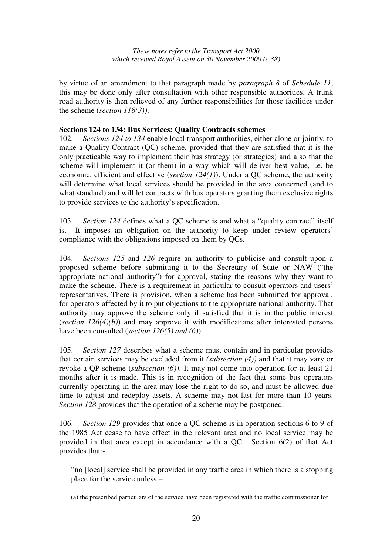by virtue of an amendment to that paragraph made by *paragraph 8* of *Schedule 11*, this may be done only after consultation with other responsible authorities. A trunk road authority is then relieved of any further responsibilities for those facilities under the scheme (*section 118(3))*.

#### **Sections 124 to 134: Bus Services: Quality Contracts schemes**

102. *Sections 124 to 134* enable local transport authorities, either alone or jointly, to make a Quality Contract (QC) scheme, provided that they are satisfied that it is the only practicable way to implement their bus strategy (or strategies) and also that the scheme will implement it (or them) in a way which will deliver best value, i.e. be economic, efficient and effective (*section 124(1)*). Under a QC scheme, the authority will determine what local services should be provided in the area concerned (and to what standard) and will let contracts with bus operators granting them exclusive rights to provide services to the authority's specification.

103. *Section 124* defines what a QC scheme is and what a "quality contract" itself is. It imposes an obligation on the authority to keep under review operators' compliance with the obligations imposed on them by QCs.

104. *Sections 125* and *126* require an authority to publicise and consult upon a proposed scheme before submitting it to the Secretary of State or NAW ("the appropriate national authority") for approval, stating the reasons why they want to make the scheme. There is a requirement in particular to consult operators and users' representatives. There is provision, when a scheme has been submitted for approval, for operators affected by it to put objections to the appropriate national authority. That authority may approve the scheme only if satisfied that it is in the public interest (*section 126(4)(b)*) and may approve it with modifications after interested persons have been consulted (*section 126(5) and (6)*).

105. *Section 127* describes what a scheme must contain and in particular provides that certain services may be excluded from it *(subsection (4))* and that it may vary or revoke a QP scheme (*subsection (6))*. It may not come into operation for at least 21 months after it is made. This is in recognition of the fact that some bus operators currently operating in the area may lose the right to do so, and must be allowed due time to adjust and redeploy assets. A scheme may not last for more than 10 years. *Section 128* provides that the operation of a scheme may be postponed.

106. *Section 129* provides that once a QC scheme is in operation sections 6 to 9 of the 1985 Act cease to have effect in the relevant area and no local service may be provided in that area except in accordance with a QC. Section 6(2) of that Act provides that:-

"no [local] service shall be provided in any traffic area in which there is a stopping place for the service unless –

(a) the prescribed particulars of the service have been registered with the traffic commissioner for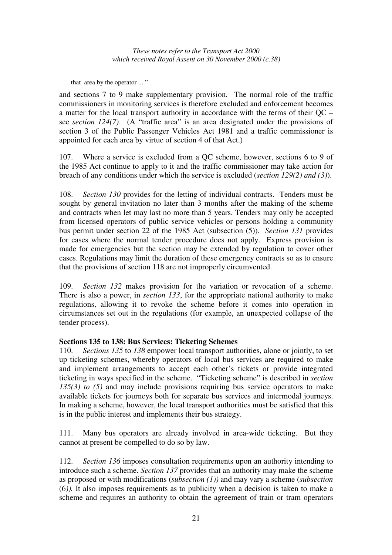that area by the operator ... "

and sections 7 to 9 make supplementary provision. The normal role of the traffic commissioners in monitoring services is therefore excluded and enforcement becomes a matter for the local transport authority in accordance with the terms of their QC – see *section 124(7)*. (A "traffic area" is an area designated under the provisions of section 3 of the Public Passenger Vehicles Act 1981 and a traffic commissioner is appointed for each area by virtue of section 4 of that Act.)

107. Where a service is excluded from a QC scheme, however, sections 6 to 9 of the 1985 Act continue to apply to it and the traffic commissioner may take action for breach of any conditions under which the service is excluded (*section 129(2) and (3)*).

108. *Section 130* provides for the letting of individual contracts. Tenders must be sought by general invitation no later than 3 months after the making of the scheme and contracts when let may last no more than 5 years. Tenders may only be accepted from licensed operators of public service vehicles or persons holding a community bus permit under section 22 of the 1985 Act (subsection (5)). *Section 131* provides for cases where the normal tender procedure does not apply. Express provision is made for emergencies but the section may be extended by regulation to cover other cases. Regulations may limit the duration of these emergency contracts so as to ensure that the provisions of section 118 are not improperly circumvented.

109. *Section 132* makes provision for the variation or revocation of a scheme. There is also a power, in *section 133*, for the appropriate national authority to make regulations, allowing it to revoke the scheme before it comes into operation in circumstances set out in the regulations (for example, an unexpected collapse of the tender process).

### **Sections 135 to 138: Bus Services: Ticketing Schemes**

110. *Sections 135* to *138* empower local transport authorities, alone or jointly, to set up ticketing schemes, whereby operators of local bus services are required to make and implement arrangements to accept each other's tickets or provide integrated ticketing in ways specified in the scheme. "Ticketing scheme" is described in *section 135(3) to (5)* and may include provisions requiring bus service operators to make available tickets for journeys both for separate bus services and intermodal journeys. In making a scheme, however, the local transport authorities must be satisfied that this is in the public interest and implements their bus strategy.

111. Many bus operators are already involved in area-wide ticketing. But they cannot at present be compelled to do so by law.

112. *Section 136* imposes consultation requirements upon an authority intending to introduce such a scheme. *Section 137* provides that an authority may make the scheme as proposed or with modifications (*subsection (1))* and may vary a scheme (*subsection* (6*)).* It also imposes requirements as to publicity when a decision is taken to make a scheme and requires an authority to obtain the agreement of train or tram operators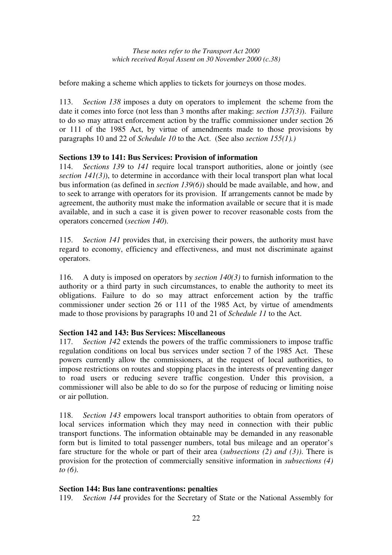before making a scheme which applies to tickets for journeys on those modes.

113. *Section 138* imposes a duty on operators to implement the scheme from the date it comes into force (not less than 3 months after making: *section 137(3)*). Failure to do so may attract enforcement action by the traffic commissioner under section 26 or 111 of the 1985 Act, by virtue of amendments made to those provisions by paragraphs 10 and 22 of *Schedule 10* to the Act. (See also *section 155(1).)*

### **Sections 139 to 141: Bus Services: Provision of information**

114. *Sections 139* to *141* require local transport authorities, alone or jointly (see *section 141(3)*), to determine in accordance with their local transport plan what local bus information (as defined in *section 139(6)*) should be made available, and how, and to seek to arrange with operators for its provision. If arrangements cannot be made by agreement, the authority must make the information available or secure that it is made available, and in such a case it is given power to recover reasonable costs from the operators concerned (*section 140*).

115. *Section 141* provides that, in exercising their powers, the authority must have regard to economy, efficiency and effectiveness, and must not discriminate against operators.

116. A duty is imposed on operators by *section 140(3)* to furnish information to the authority or a third party in such circumstances, to enable the authority to meet its obligations. Failure to do so may attract enforcement action by the traffic commissioner under section 26 or 111 of the 1985 Act, by virtue of amendments made to those provisions by paragraphs 10 and 21 of *Schedule 11* to the Act.

### **Section 142 and 143: Bus Services: Miscellaneous**

117. *Section 142* extends the powers of the traffic commissioners to impose traffic regulation conditions on local bus services under section 7 of the 1985 Act. These powers currently allow the commissioners, at the request of local authorities, to impose restrictions on routes and stopping places in the interests of preventing danger to road users or reducing severe traffic congestion. Under this provision, a commissioner will also be able to do so for the purpose of reducing or limiting noise or air pollution.

118. *Section 143* empowers local transport authorities to obtain from operators of local services information which they may need in connection with their public transport functions. The information obtainable may be demanded in any reasonable form but is limited to total passenger numbers, total bus mileage and an operator's fare structure for the whole or part of their area (*subsections (2) and (3))*. There is provision for the protection of commercially sensitive information in *subsections (4) to (6)*.

### **Section 144: Bus lane contraventions: penalties**

119. *Section 144* provides for the Secretary of State or the National Assembly for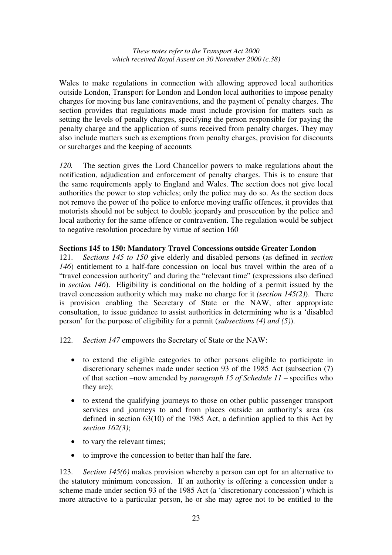Wales to make regulations in connection with allowing approved local authorities outside London, Transport for London and London local authorities to impose penalty charges for moving bus lane contraventions, and the payment of penalty charges. The section provides that regulations made must include provision for matters such as setting the levels of penalty charges, specifying the person responsible for paying the penalty charge and the application of sums received from penalty charges. They may also include matters such as exemptions from penalty charges, provision for discounts or surcharges and the keeping of accounts

*120.* The section gives the Lord Chancellor powers to make regulations about the notification, adjudication and enforcement of penalty charges. This is to ensure that the same requirements apply to England and Wales. The section does not give local authorities the power to stop vehicles; only the police may do so. As the section does not remove the power of the police to enforce moving traffic offences, it provides that motorists should not be subject to double jeopardy and prosecution by the police and local authority for the same offence or contravention. The regulation would be subject to negative resolution procedure by virtue of section 160

#### **Sections 145 to 150: Mandatory Travel Concessions outside Greater London**

121. *Sections 145 to 150* give elderly and disabled persons (as defined in *section 146*) entitlement to a half-fare concession on local bus travel within the area of a "travel concession authority" and during the "relevant time" (expressions also defined in *section 146*). Eligibility is conditional on the holding of a permit issued by the travel concession authority which may make no charge for it *(section 145(2)*). There is provision enabling the Secretary of State or the NAW, after appropriate consultation, to issue guidance to assist authorities in determining who is a 'disabled person' for the purpose of eligibility for a permit (*subsections (4) and (5)*).

- 122. *Section 147* empowers the Secretary of State or the NAW:
	- to extend the eligible categories to other persons eligible to participate in discretionary schemes made under section 93 of the 1985 Act (subsection (7) of that section –now amended by *paragraph 15 of Schedule 11* – specifies who they are);
	- to extend the qualifying journeys to those on other public passenger transport services and journeys to and from places outside an authority's area (as defined in section 63(10) of the 1985 Act, a definition applied to this Act by *section 162(3)*;
	- to vary the relevant times;
	- to improve the concession to better than half the fare.

123. *Section 145(6)* makes provision whereby a person can opt for an alternative to the statutory minimum concession. If an authority is offering a concession under a scheme made under section 93 of the 1985 Act (a 'discretionary concession') which is more attractive to a particular person, he or she may agree not to be entitled to the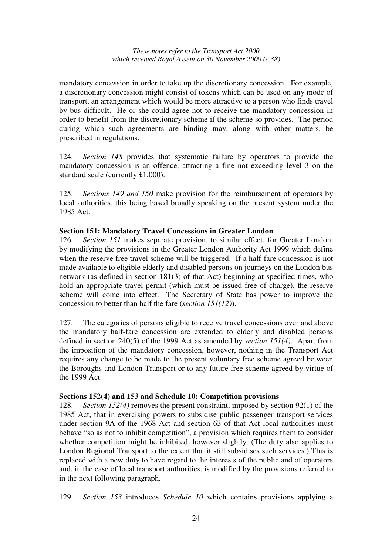mandatory concession in order to take up the discretionary concession. For example, a discretionary concession might consist of tokens which can be used on any mode of transport, an arrangement which would be more attractive to a person who finds travel by bus difficult. He or she could agree not to receive the mandatory concession in order to benefit from the discretionary scheme if the scheme so provides. The period during which such agreements are binding may, along with other matters, be prescribed in regulations.

124. *Section 148* provides that systematic failure by operators to provide the mandatory concession is an offence, attracting a fine not exceeding level 3 on the standard scale (currently £1,000).

125. *Sections 149 and 150* make provision for the reimbursement of operators by local authorities, this being based broadly speaking on the present system under the 1985 Act.

#### **Section 151: Mandatory Travel Concessions in Greater London**

126. *Section 151* makes separate provision, to similar effect, for Greater London, by modifying the provisions in the Greater London Authority Act 1999 which define when the reserve free travel scheme will be triggered. If a half-fare concession is not made available to eligible elderly and disabled persons on journeys on the London bus network (as defined in section 181(3) of that Act) beginning at specified times, who hold an appropriate travel permit (which must be issued free of charge), the reserve scheme will come into effect. The Secretary of State has power to improve the concession to better than half the fare (*section 151(12)*).

127. The categories of persons eligible to receive travel concessions over and above the mandatory half-fare concession are extended to elderly and disabled persons defined in section 240(5) of the 1999 Act as amended by *section 151(4)*. Apart from the imposition of the mandatory concession, however, nothing in the Transport Act requires any change to be made to the present voluntary free scheme agreed between the Boroughs and London Transport or to any future free scheme agreed by virtue of the 1999 Act.

#### **Sections 152(4) and 153 and Schedule 10: Competition provisions**

128. *Section 152(4)* removes the present constraint, imposed by section 92(1) of the 1985 Act, that in exercising powers to subsidise public passenger transport services under section 9A of the 1968 Act and section 63 of that Act local authorities must behave "so as not to inhibit competition", a provision which requires them to consider whether competition might be inhibited, however slightly. (The duty also applies to London Regional Transport to the extent that it still subsidises such services.) This is replaced with a new duty to have regard to the interests of the public and of operators and, in the case of local transport authorities, is modified by the provisions referred to in the next following paragraph.

129. *Section 153* introduces *Schedule 10* which contains provisions applying a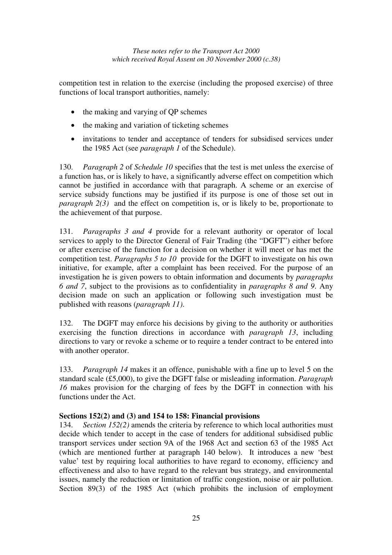competition test in relation to the exercise (including the proposed exercise) of three functions of local transport authorities, namely:

- the making and varying of QP schemes
- the making and variation of ticketing schemes
- invitations to tender and acceptance of tenders for subsidised services under the 1985 Act (see *paragraph 1* of the Schedule).

130. *Paragraph 2* of *Schedule 10* specifies that the test is met unless the exercise of a function has, or is likely to have, a significantly adverse effect on competition which cannot be justified in accordance with that paragraph. A scheme or an exercise of service subsidy functions may be justified if its purpose is one of those set out in *paragraph 2(3)* and the effect on competition is, or is likely to be, proportionate to the achievement of that purpose.

131. *Paragraphs 3 and 4* provide for a relevant authority or operator of local services to apply to the Director General of Fair Trading (the "DGFT") either before or after exercise of the function for a decision on whether it will meet or has met the competition test. *Paragraphs 5 to 10* provide for the DGFT to investigate on his own initiative, for example, after a complaint has been received. For the purpose of an investigation he is given powers to obtain information and documents by *paragraphs 6 and 7*, subject to the provisions as to confidentiality in *paragraphs 8 and 9*. Any decision made on such an application or following such investigation must be published with reasons (*paragraph 11)*.

132. The DGFT may enforce his decisions by giving to the authority or authorities exercising the function directions in accordance with *paragraph 13*, including directions to vary or revoke a scheme or to require a tender contract to be entered into with another operator.

133. *Paragraph 14* makes it an offence, punishable with a fine up to level 5 on the standard scale (£5,000), to give the DGFT false or misleading information. *Paragraph 16* makes provision for the charging of fees by the DGFT in connection with his functions under the Act.

### **Sections 152(2) and (3) and 154 to 158: Financial provisions**

134. *Section 152(2)* amends the criteria by reference to which local authorities must decide which tender to accept in the case of tenders for additional subsidised public transport services under section 9A of the 1968 Act and section 63 of the 1985 Act (which are mentioned further at paragraph 140 below). It introduces a new 'best value' test by requiring local authorities to have regard to economy, efficiency and effectiveness and also to have regard to the relevant bus strategy, and environmental issues, namely the reduction or limitation of traffic congestion, noise or air pollution. Section 89(3) of the 1985 Act (which prohibits the inclusion of employment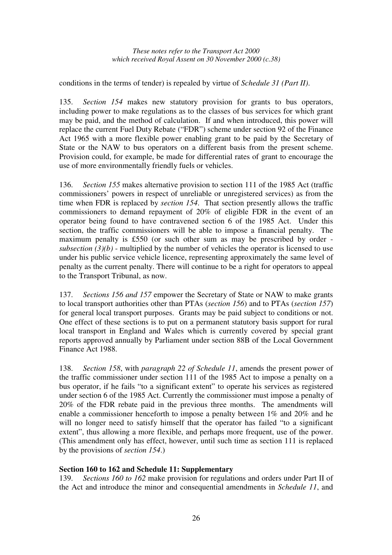conditions in the terms of tender) is repealed by virtue of *Schedule 31 (Part II)*.

135. *Section 154* makes new statutory provision for grants to bus operators, including power to make regulations as to the classes of bus services for which grant may be paid, and the method of calculation. If and when introduced, this power will replace the current Fuel Duty Rebate ("FDR") scheme under section 92 of the Finance Act 1965 with a more flexible power enabling grant to be paid by the Secretary of State or the NAW to bus operators on a different basis from the present scheme. Provision could, for example, be made for differential rates of grant to encourage the use of more environmentally friendly fuels or vehicles.

136. *Section 155* makes alternative provision to section 111 of the 1985 Act (traffic commissioners' powers in respect of unreliable or unregistered services) as from the time when FDR is replaced by *section 154*. That section presently allows the traffic commissioners to demand repayment of 20% of eligible FDR in the event of an operator being found to have contravened section 6 of the 1985 Act. Under this section, the traffic commissioners will be able to impose a financial penalty. The maximum penalty is £550 (or such other sum as may be prescribed by order *subsection*  $(3)(b)$  - multiplied by the number of vehicles the operator is licensed to use under his public service vehicle licence, representing approximately the same level of penalty as the current penalty. There will continue to be a right for operators to appeal to the Transport Tribunal, as now.

137. *Sections 156 and 157* empower the Secretary of State or NAW to make grants to local transport authorities other than PTAs (*section 156*) and to PTAs (*section 157*) for general local transport purposes. Grants may be paid subject to conditions or not. One effect of these sections is to put on a permanent statutory basis support for rural local transport in England and Wales which is currently covered by special grant reports approved annually by Parliament under section 88B of the Local Government Finance Act 1988.

138. *Section 158*, with *paragraph 22 of Schedule 11*, amends the present power of the traffic commissioner under section 111 of the 1985 Act to impose a penalty on a bus operator, if he fails "to a significant extent" to operate his services as registered under section 6 of the 1985 Act. Currently the commissioner must impose a penalty of 20% of the FDR rebate paid in the previous three months. The amendments will enable a commissioner henceforth to impose a penalty between 1% and 20% and he will no longer need to satisfy himself that the operator has failed "to a significant extent", thus allowing a more flexible, and perhaps more frequent, use of the power. (This amendment only has effect, however, until such time as section 111 is replaced by the provisions of *section 154*.)

### **Section 160 to 162 and Schedule 11: Supplementary**

139. *Sections 160 to 162* make provision for regulations and orders under Part II of the Act and introduce the minor and consequential amendments in *Schedule 11*, and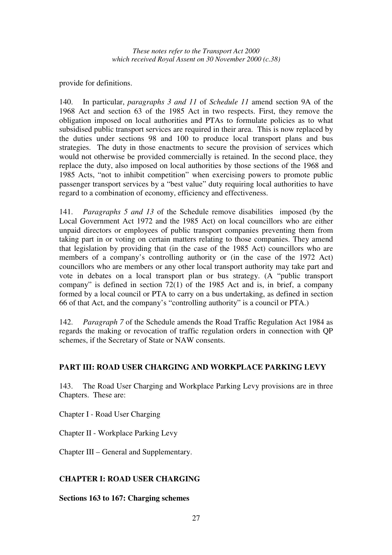provide for definitions.

140. In particular, *paragraphs 3 and 11* of *Schedule 11* amend section 9A of the 1968 Act and section 63 of the 1985 Act in two respects. First, they remove the obligation imposed on local authorities and PTAs to formulate policies as to what subsidised public transport services are required in their area. This is now replaced by the duties under sections 98 and 100 to produce local transport plans and bus strategies. The duty in those enactments to secure the provision of services which would not otherwise be provided commercially is retained. In the second place, they replace the duty, also imposed on local authorities by those sections of the 1968 and 1985 Acts, "not to inhibit competition" when exercising powers to promote public passenger transport services by a "best value" duty requiring local authorities to have regard to a combination of economy, efficiency and effectiveness.

141. *Paragraphs 5 and 13* of the Schedule remove disabilities imposed (by the Local Government Act 1972 and the 1985 Act) on local councillors who are either unpaid directors or employees of public transport companies preventing them from taking part in or voting on certain matters relating to those companies. They amend that legislation by providing that (in the case of the 1985 Act) councillors who are members of a company's controlling authority or (in the case of the 1972 Act) councillors who are members or any other local transport authority may take part and vote in debates on a local transport plan or bus strategy. (A "public transport company" is defined in section 72(1) of the 1985 Act and is, in brief, a company formed by a local council or PTA to carry on a bus undertaking, as defined in section 66 of that Act, and the company's "controlling authority" is a council or PTA.)

142. *Paragraph 7* of the Schedule amends the Road Traffic Regulation Act 1984 as regards the making or revocation of traffic regulation orders in connection with QP schemes, if the Secretary of State or NAW consents.

### **PART III: ROAD USER CHARGING AND WORKPLACE PARKING LEVY**

143. The Road User Charging and Workplace Parking Levy provisions are in three Chapters. These are:

Chapter I - Road User Charging

Chapter II - Workplace Parking Levy

Chapter III – General and Supplementary.

### **CHAPTER I: ROAD USER CHARGING**

**Sections 163 to 167: Charging schemes**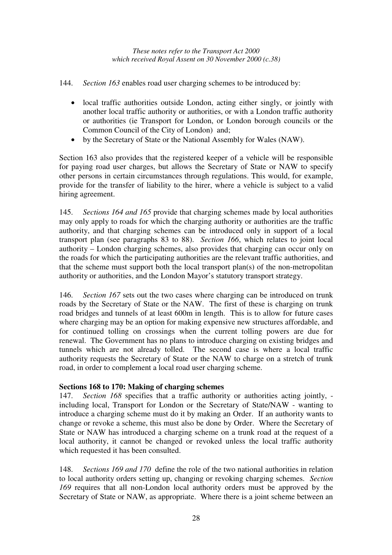- 144. *Section 163* enables road user charging schemes to be introduced by:
	- local traffic authorities outside London, acting either singly, or jointly with another local traffic authority or authorities, or with a London traffic authority or authorities (ie Transport for London, or London borough councils or the Common Council of the City of London) and;
	- by the Secretary of State or the National Assembly for Wales (NAW).

Section 163 also provides that the registered keeper of a vehicle will be responsible for paying road user charges, but allows the Secretary of State or NAW to specify other persons in certain circumstances through regulations. This would, for example, provide for the transfer of liability to the hirer, where a vehicle is subject to a valid hiring agreement.

145. *Sections 164 and 165* provide that charging schemes made by local authorities may only apply to roads for which the charging authority or authorities are the traffic authority, and that charging schemes can be introduced only in support of a local transport plan (see paragraphs 83 to 88). *Section 166*, which relates to joint local authority – London charging schemes, also provides that charging can occur only on the roads for which the participating authorities are the relevant traffic authorities, and that the scheme must support both the local transport plan(s) of the non-metropolitan authority or authorities, and the London Mayor's statutory transport strategy.

146. *Section 167* sets out the two cases where charging can be introduced on trunk roads by the Secretary of State or the NAW. The first of these is charging on trunk road bridges and tunnels of at least 600m in length. This is to allow for future cases where charging may be an option for making expensive new structures affordable, and for continued tolling on crossings when the current tolling powers are due for renewal. The Government has no plans to introduce charging on existing bridges and tunnels which are not already tolled. The second case is where a local traffic authority requests the Secretary of State or the NAW to charge on a stretch of trunk road, in order to complement a local road user charging scheme.

### **Sections 168 to 170: Making of charging schemes**

147. *Section 168* specifies that a traffic authority or authorities acting jointly, including local, Transport for London or the Secretary of State/NAW - wanting to introduce a charging scheme must do it by making an Order. If an authority wants to change or revoke a scheme, this must also be done by Order. Where the Secretary of State or NAW has introduced a charging scheme on a trunk road at the request of a local authority, it cannot be changed or revoked unless the local traffic authority which requested it has been consulted.

148. *Sections 169 and 170* define the role of the two national authorities in relation to local authority orders setting up, changing or revoking charging schemes. *Section 169* requires that all non-London local authority orders must be approved by the Secretary of State or NAW, as appropriate. Where there is a joint scheme between an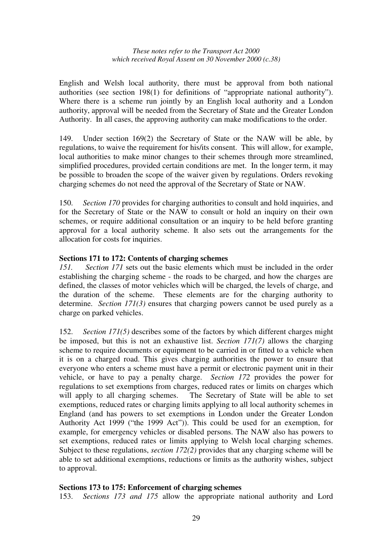English and Welsh local authority, there must be approval from both national authorities (see section 198(1) for definitions of "appropriate national authority"). Where there is a scheme run jointly by an English local authority and a London authority, approval will be needed from the Secretary of State and the Greater London Authority. In all cases, the approving authority can make modifications to the order.

149. Under section 169(2) the Secretary of State or the NAW will be able, by regulations, to waive the requirement for his/its consent. This will allow, for example, local authorities to make minor changes to their schemes through more streamlined, simplified procedures, provided certain conditions are met. In the longer term, it may be possible to broaden the scope of the waiver given by regulations. Orders revoking charging schemes do not need the approval of the Secretary of State or NAW.

150. *Section 170* provides for charging authorities to consult and hold inquiries, and for the Secretary of State or the NAW to consult or hold an inquiry on their own schemes, or require additional consultation or an inquiry to be held before granting approval for a local authority scheme. It also sets out the arrangements for the allocation for costs for inquiries.

### **Sections 171 to 172: Contents of charging schemes**

*151. Section 171* sets out the basic elements which must be included in the order establishing the charging scheme - the roads to be charged, and how the charges are defined, the classes of motor vehicles which will be charged, the levels of charge, and the duration of the scheme. These elements are for the charging authority to determine. *Section 171(3)* ensures that charging powers cannot be used purely as a charge on parked vehicles.

152. *Section 171(5)* describes some of the factors by which different charges might be imposed, but this is not an exhaustive list. *Section 171(7)* allows the charging scheme to require documents or equipment to be carried in or fitted to a vehicle when it is on a charged road. This gives charging authorities the power to ensure that everyone who enters a scheme must have a permit or electronic payment unit in their vehicle, or have to pay a penalty charge. *Section 172* provides the power for regulations to set exemptions from charges, reduced rates or limits on charges which will apply to all charging schemes. The Secretary of State will be able to set exemptions, reduced rates or charging limits applying to all local authority schemes in England (and has powers to set exemptions in London under the Greater London Authority Act 1999 ("the 1999 Act")). This could be used for an exemption, for example, for emergency vehicles or disabled persons. The NAW also has powers to set exemptions, reduced rates or limits applying to Welsh local charging schemes. Subject to these regulations, *section 172(2)* provides that any charging scheme will be able to set additional exemptions, reductions or limits as the authority wishes, subject to approval.

### **Sections 173 to 175: Enforcement of charging schemes**

153. *Sections 173 and 175* allow the appropriate national authority and Lord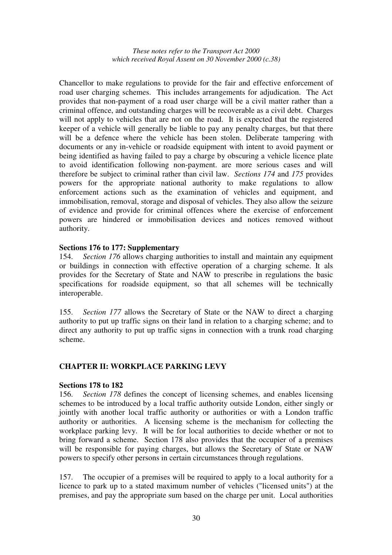Chancellor to make regulations to provide for the fair and effective enforcement of road user charging schemes. This includes arrangements for adjudication. The Act provides that non-payment of a road user charge will be a civil matter rather than a criminal offence, and outstanding charges will be recoverable as a civil debt. Charges will not apply to vehicles that are not on the road. It is expected that the registered keeper of a vehicle will generally be liable to pay any penalty charges, but that there will be a defence where the vehicle has been stolen. Deliberate tampering with documents or any in-vehicle or roadside equipment with intent to avoid payment or being identified as having failed to pay a charge by obscuring a vehicle licence plate to avoid identification following non-payment. are more serious cases and will therefore be subject to criminal rather than civil law. *Sections 174* and *175* provides powers for the appropriate national authority to make regulations to allow enforcement actions such as the examination of vehicles and equipment, and immobilisation, removal, storage and disposal of vehicles. They also allow the seizure of evidence and provide for criminal offences where the exercise of enforcement powers are hindered or immobilisation devices and notices removed without authority.

#### **Sections 176 to 177: Supplementary**

154. *Section 176* allows charging authorities to install and maintain any equipment or buildings in connection with effective operation of a charging scheme. It als provides for the Secretary of State and NAW to prescribe in regulations the basic specifications for roadside equipment, so that all schemes will be technically interoperable.

155. *Section 177* allows the Secretary of State or the NAW to direct a charging authority to put up traffic signs on their land in relation to a charging scheme; and to direct any authority to put up traffic signs in connection with a trunk road charging scheme.

### **CHAPTER II: WORKPLACE PARKING LEVY**

#### **Sections 178 to 182**

156. *Section 178* defines the concept of licensing schemes, and enables licensing schemes to be introduced by a local traffic authority outside London, either singly or jointly with another local traffic authority or authorities or with a London traffic authority or authorities. A licensing scheme is the mechanism for collecting the workplace parking levy. It will be for local authorities to decide whether or not to bring forward a scheme. Section 178 also provides that the occupier of a premises will be responsible for paying charges, but allows the Secretary of State or NAW powers to specify other persons in certain circumstances through regulations.

157. The occupier of a premises will be required to apply to a local authority for a licence to park up to a stated maximum number of vehicles ("licensed units") at the premises, and pay the appropriate sum based on the charge per unit. Local authorities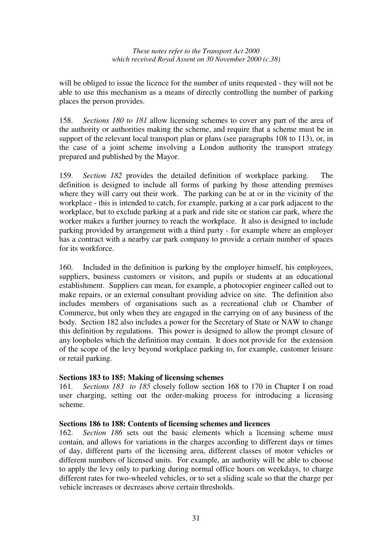will be obliged to issue the licence for the number of units requested - they will not be able to use this mechanism as a means of directly controlling the number of parking places the person provides.

158. *Sections 180 to 181* allow licensing schemes to cover any part of the area of the authority or authorities making the scheme, and require that a scheme must be in support of the relevant local transport plan or plans (see paragraphs 108 to 113), or, in the case of a joint scheme involving a London authority the transport strategy prepared and published by the Mayor.

159. *Section 182* provides the detailed definition of workplace parking. The definition is designed to include all forms of parking by those attending premises where they will carry out their work. The parking can be at or in the vicinity of the workplace - this is intended to catch, for example, parking at a car park adjacent to the workplace, but to exclude parking at a park and ride site or station car park, where the worker makes a further journey to reach the workplace. It also is designed to include parking provided by arrangement with a third party - for example where an employer has a contract with a nearby car park company to provide a certain number of spaces for its workforce.

160. Included in the definition is parking by the employer himself, his employees, suppliers, business customers or visitors, and pupils or students at an educational establishment. Suppliers can mean, for example, a photocopier engineer called out to make repairs, or an external consultant providing advice on site. The definition also includes members of organisations such as a recreational club or Chamber of Commerce, but only when they are engaged in the carrying on of any business of the body. Section 182 also includes a power for the Secretary of State or NAW to change this definition by regulations. This power is designed to allow the prompt closure of any loopholes which the definition may contain. It does not provide for the extension of the scope of the levy beyond workplace parking to, for example, customer leisure or retail parking.

#### **Sections 183 to 185: Making of licensing schemes**

161. *Sections 183 to 185* closely follow section 168 to 170 in Chapter I on road user charging, setting out the order-making process for introducing a licensing scheme.

#### **Sections 186 to 188: Contents of licensing schemes and licences**

162. *Section 186* sets out the basic elements which a licensing scheme must contain, and allows for variations in the charges according to different days or times of day, different parts of the licensing area, different classes of motor vehicles or different numbers of licensed units. For example, an authority will be able to choose to apply the levy only to parking during normal office hours on weekdays, to charge different rates for two-wheeled vehicles, or to set a sliding scale so that the charge per vehicle increases or decreases above certain thresholds.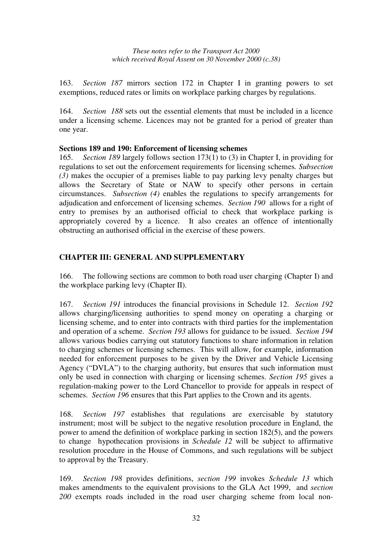163. *Section 187* mirrors section 172 in Chapter I in granting powers to set exemptions, reduced rates or limits on workplace parking charges by regulations.

164. *Section 188* sets out the essential elements that must be included in a licence under a licensing scheme. Licences may not be granted for a period of greater than one year.

#### **Sections 189 and 190: Enforcement of licensing schemes**

165. *Section 189* largely follows section 173(1) to (3) in Chapter I, in providing for regulations to set out the enforcement requirements for licensing schemes*. Subsection (3)* makes the occupier of a premises liable to pay parking levy penalty charges but allows the Secretary of State or NAW to specify other persons in certain circumstances. *Subsection (4)* enables the regulations to specify arrangements for adjudication and enforcement of licensing schemes. *Section 190* allows for a right of entry to premises by an authorised official to check that workplace parking is appropriately covered by a licence. It also creates an offence of intentionally obstructing an authorised official in the exercise of these powers.

### **CHAPTER III: GENERAL AND SUPPLEMENTARY**

166. The following sections are common to both road user charging (Chapter I) and the workplace parking levy (Chapter II).

167. *Section 191* introduces the financial provisions in Schedule 12. *Section 192* allows charging/licensing authorities to spend money on operating a charging or licensing scheme, and to enter into contracts with third parties for the implementation and operation of a scheme. *Section 193* allows for guidance to be issued. *Section 194* allows various bodies carrying out statutory functions to share information in relation to charging schemes or licensing schemes. This will allow, for example, information needed for enforcement purposes to be given by the Driver and Vehicle Licensing Agency ("DVLA") to the charging authority, but ensures that such information must only be used in connection with charging or licensing schemes. *Section 195* gives a regulation-making power to the Lord Chancellor to provide for appeals in respect of schemes. *Section 196* ensures that this Part applies to the Crown and its agents.

168. *Section 197* establishes that regulations are exercisable by statutory instrument; most will be subject to the negative resolution procedure in England, the power to amend the definition of workplace parking in section 182(5), and the powers to change hypothecation provisions in *Schedule 12* will be subject to affirmative resolution procedure in the House of Commons, and such regulations will be subject to approval by the Treasury.

169. *Section 198* provides definitions, *section 199* invokes *Schedule 13* which makes amendments to the equivalent provisions to the GLA Act 1999, and *section 200* exempts roads included in the road user charging scheme from local non-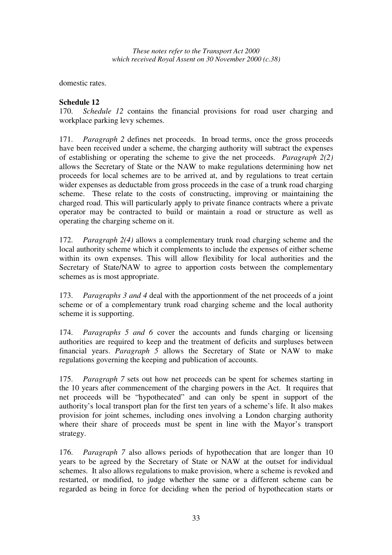domestic rates.

### **Schedule 12**

170. *Schedule 12* contains the financial provisions for road user charging and workplace parking levy schemes.

171. *Paragraph 2* defines net proceeds. In broad terms, once the gross proceeds have been received under a scheme, the charging authority will subtract the expenses of establishing or operating the scheme to give the net proceeds. *Paragraph 2(2)* allows the Secretary of State or the NAW to make regulations determining how net proceeds for local schemes are to be arrived at, and by regulations to treat certain wider expenses as deductable from gross proceeds in the case of a trunk road charging scheme. These relate to the costs of constructing, improving or maintaining the charged road. This will particularly apply to private finance contracts where a private operator may be contracted to build or maintain a road or structure as well as operating the charging scheme on it.

172. *Paragraph 2(4)* allows a complementary trunk road charging scheme and the local authority scheme which it complements to include the expenses of either scheme within its own expenses. This will allow flexibility for local authorities and the Secretary of State/NAW to agree to apportion costs between the complementary schemes as is most appropriate.

173. *Paragraphs 3 and 4* deal with the apportionment of the net proceeds of a joint scheme or of a complementary trunk road charging scheme and the local authority scheme it is supporting.

174. *Paragraphs 5 and 6* cover the accounts and funds charging or licensing authorities are required to keep and the treatment of deficits and surpluses between financial years. *Paragraph 5* allows the Secretary of State or NAW to make regulations governing the keeping and publication of accounts.

175. *Paragraph 7* sets out how net proceeds can be spent for schemes starting in the 10 years after commencement of the charging powers in the Act. It requires that net proceeds will be "hypothecated" and can only be spent in support of the authority's local transport plan for the first ten years of a scheme's life. It also makes provision for joint schemes, including ones involving a London charging authority where their share of proceeds must be spent in line with the Mayor's transport strategy.

176. *Paragraph 7* also allows periods of hypothecation that are longer than 10 years to be agreed by the Secretary of State or NAW at the outset for individual schemes. It also allows regulations to make provision, where a scheme is revoked and restarted, or modified, to judge whether the same or a different scheme can be regarded as being in force for deciding when the period of hypothecation starts or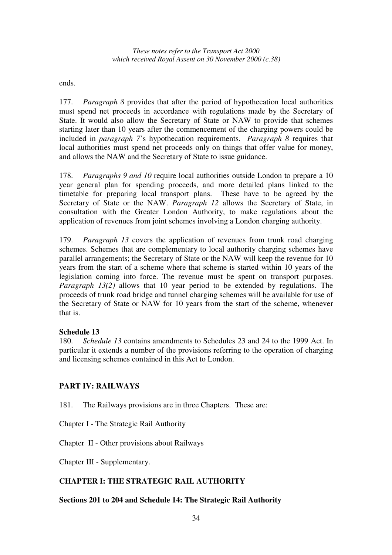ends.

177. *Paragraph 8* provides that after the period of hypothecation local authorities must spend net proceeds in accordance with regulations made by the Secretary of State. It would also allow the Secretary of State or NAW to provide that schemes starting later than 10 years after the commencement of the charging powers could be included in *paragraph 7*'s hypothecation requirements. *Paragraph 8* requires that local authorities must spend net proceeds only on things that offer value for money, and allows the NAW and the Secretary of State to issue guidance.

178. *Paragraphs 9 and 10* require local authorities outside London to prepare a 10 year general plan for spending proceeds, and more detailed plans linked to the timetable for preparing local transport plans. These have to be agreed by the Secretary of State or the NAW. *Paragraph 12* allows the Secretary of State, in consultation with the Greater London Authority, to make regulations about the application of revenues from joint schemes involving a London charging authority.

179. *Paragraph 13* covers the application of revenues from trunk road charging schemes. Schemes that are complementary to local authority charging schemes have parallel arrangements; the Secretary of State or the NAW will keep the revenue for 10 years from the start of a scheme where that scheme is started within 10 years of the legislation coming into force. The revenue must be spent on transport purposes. *Paragraph 13(2)* allows that 10 year period to be extended by regulations. The proceeds of trunk road bridge and tunnel charging schemes will be available for use of the Secretary of State or NAW for 10 years from the start of the scheme, whenever that is.

### **Schedule 13**

180. *Schedule 13* contains amendments to Schedules 23 and 24 to the 1999 Act. In particular it extends a number of the provisions referring to the operation of charging and licensing schemes contained in this Act to London.

### **PART IV: RAILWAYS**

181. The Railways provisions are in three Chapters. These are:

Chapter I - The Strategic Rail Authority

Chapter II - Other provisions about Railways

Chapter III - Supplementary.

### **CHAPTER I: THE STRATEGIC RAIL AUTHORITY**

### **Sections 201 to 204 and Schedule 14: The Strategic Rail Authority**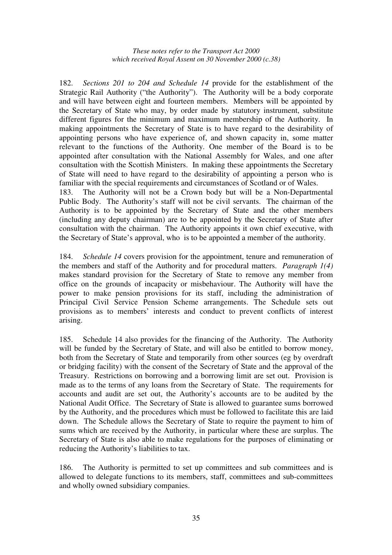182. *Sections 201 to 204 and Schedule 14* provide for the establishment of the Strategic Rail Authority ("the Authority"). The Authority will be a body corporate and will have between eight and fourteen members. Members will be appointed by the Secretary of State who may, by order made by statutory instrument, substitute different figures for the minimum and maximum membership of the Authority. In making appointments the Secretary of State is to have regard to the desirability of appointing persons who have experience of, and shown capacity in, some matter relevant to the functions of the Authority. One member of the Board is to be appointed after consultation with the National Assembly for Wales, and one after consultation with the Scottish Ministers. In making these appointments the Secretary of State will need to have regard to the desirability of appointing a person who is familiar with the special requirements and circumstances of Scotland or of Wales.

183. The Authority will not be a Crown body but will be a Non-Departmental Public Body. The Authority's staff will not be civil servants. The chairman of the Authority is to be appointed by the Secretary of State and the other members (including any deputy chairman) are to be appointed by the Secretary of State after consultation with the chairman. The Authority appoints it own chief executive, with the Secretary of State's approval, who is to be appointed a member of the authority.

184. *Schedule 14* covers provision for the appointment, tenure and remuneration of the members and staff of the Authority and for procedural matters. *Paragraph 1(4)* makes standard provision for the Secretary of State to remove any member from office on the grounds of incapacity or misbehaviour. The Authority will have the power to make pension provisions for its staff, including the administration of Principal Civil Service Pension Scheme arrangements. The Schedule sets out provisions as to members' interests and conduct to prevent conflicts of interest arising.

185. Schedule 14 also provides for the financing of the Authority. The Authority will be funded by the Secretary of State, and will also be entitled to borrow money, both from the Secretary of State and temporarily from other sources (eg by overdraft or bridging facility) with the consent of the Secretary of State and the approval of the Treasury. Restrictions on borrowing and a borrowing limit are set out. Provision is made as to the terms of any loans from the Secretary of State. The requirements for accounts and audit are set out, the Authority's accounts are to be audited by the National Audit Office. The Secretary of State is allowed to guarantee sums borrowed by the Authority, and the procedures which must be followed to facilitate this are laid down. The Schedule allows the Secretary of State to require the payment to him of sums which are received by the Authority, in particular where these are surplus. The Secretary of State is also able to make regulations for the purposes of eliminating or reducing the Authority's liabilities to tax.

186. The Authority is permitted to set up committees and sub committees and is allowed to delegate functions to its members, staff, committees and sub-committees and wholly owned subsidiary companies.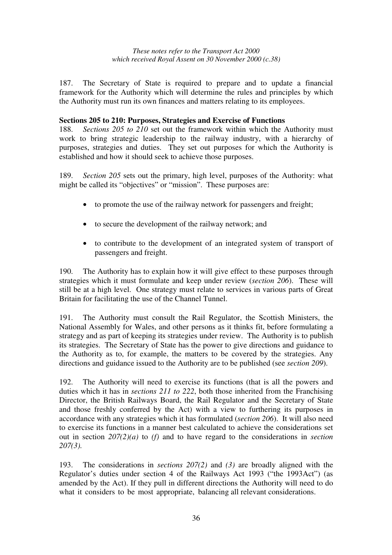187. The Secretary of State is required to prepare and to update a financial framework for the Authority which will determine the rules and principles by which the Authority must run its own finances and matters relating to its employees.

#### **Sections 205 to 210: Purposes, Strategies and Exercise of Functions**

188. *Sections 205 to 210* set out the framework within which the Authority must work to bring strategic leadership to the railway industry, with a hierarchy of purposes, strategies and duties. They set out purposes for which the Authority is established and how it should seek to achieve those purposes.

189. *Section 205* sets out the primary, high level, purposes of the Authority: what might be called its "objectives" or "mission". These purposes are:

- to promote the use of the railway network for passengers and freight;
- to secure the development of the railway network; and
- to contribute to the development of an integrated system of transport of passengers and freight.

190. The Authority has to explain how it will give effect to these purposes through strategies which it must formulate and keep under review (*section 206*). These will still be at a high level. One strategy must relate to services in various parts of Great Britain for facilitating the use of the Channel Tunnel.

191. The Authority must consult the Rail Regulator, the Scottish Ministers, the National Assembly for Wales, and other persons as it thinks fit, before formulating a strategy and as part of keeping its strategies under review. The Authority is to publish its strategies. The Secretary of State has the power to give directions and guidance to the Authority as to, for example, the matters to be covered by the strategies. Any directions and guidance issued to the Authority are to be published (see *section 209*).

192. The Authority will need to exercise its functions (that is all the powers and duties which it has in *sections 211 to 222*, both those inherited from the Franchising Director, the British Railways Board, the Rail Regulator and the Secretary of State and those freshly conferred by the Act) with a view to furthering its purposes in accordance with any strategies which it has formulated (*section 206*). It will also need to exercise its functions in a manner best calculated to achieve the considerations set out in section *207(2)(a)* to *(f)* and to have regard to the considerations in *section 207(3).*

193. The considerations in *sections 207(2)* and *(3)* are broadly aligned with the Regulator's duties under section 4 of the Railways Act 1993 ("the 1993Act") (as amended by the Act). If they pull in different directions the Authority will need to do what it considers to be most appropriate, balancing all relevant considerations.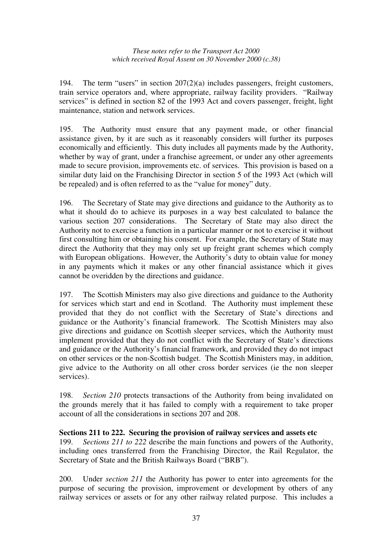194. The term "users" in section 207(2)(a) includes passengers, freight customers, train service operators and, where appropriate, railway facility providers. "Railway services" is defined in section 82 of the 1993 Act and covers passenger, freight, light maintenance, station and network services.

195. The Authority must ensure that any payment made, or other financial assistance given, by it are such as it reasonably considers will further its purposes economically and efficiently. This duty includes all payments made by the Authority, whether by way of grant, under a franchise agreement, or under any other agreements made to secure provision, improvements etc. of services. This provision is based on a similar duty laid on the Franchising Director in section 5 of the 1993 Act (which will be repealed) and is often referred to as the "value for money" duty.

196. The Secretary of State may give directions and guidance to the Authority as to what it should do to achieve its purposes in a way best calculated to balance the various section 207 considerations. The Secretary of State may also direct the Authority not to exercise a function in a particular manner or not to exercise it without first consulting him or obtaining his consent. For example, the Secretary of State may direct the Authority that they may only set up freight grant schemes which comply with European obligations. However, the Authority's duty to obtain value for money in any payments which it makes or any other financial assistance which it gives cannot be overidden by the directions and guidance.

197. The Scottish Ministers may also give directions and guidance to the Authority for services which start and end in Scotland. The Authority must implement these provided that they do not conflict with the Secretary of State's directions and guidance or the Authority's financial framework. The Scottish Ministers may also give directions and guidance on Scottish sleeper services, which the Authority must implement provided that they do not conflict with the Secretary of State's directions and guidance or the Authority's financial framework, and provided they do not impact on other services or the non-Scottish budget. The Scottish Ministers may, in addition, give advice to the Authority on all other cross border services (ie the non sleeper services).

198. *Section 210* protects transactions of the Authority from being invalidated on the grounds merely that it has failed to comply with a requirement to take proper account of all the considerations in sections 207 and 208.

### **Sections 211 to 222. Securing the provision of railway services and assets etc**

199. *Sections 211 to 222* describe the main functions and powers of the Authority, including ones transferred from the Franchising Director, the Rail Regulator, the Secretary of State and the British Railways Board ("BRB").

200. Under *section 211* the Authority has power to enter into agreements for the purpose of securing the provision, improvement or development by others of any railway services or assets or for any other railway related purpose. This includes a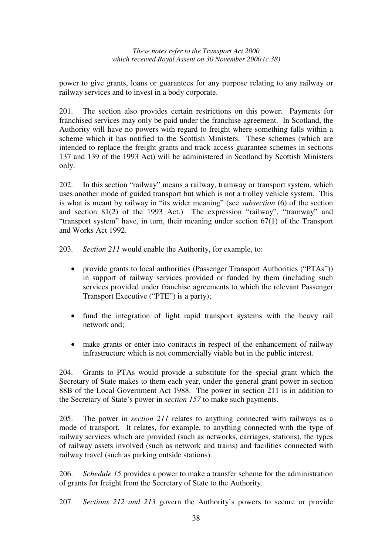power to give grants, loans or guarantees for any purpose relating to any railway or railway services and to invest in a body corporate.

201. The section also provides certain restrictions on this power. Payments for franchised services may only be paid under the franchise agreement. In Scotland, the Authority will have no powers with regard to freight where something falls within a scheme which it has notified to the Scottish Ministers. These schemes (which are intended to replace the freight grants and track access guarantee schemes in sections 137 and 139 of the 1993 Act) will be administered in Scotland by Scottish Ministers only.

202. In this section "railway" means a railway, tramway or transport system, which uses another mode of guided transport but which is not a trolley vehicle system. This is what is meant by railway in "its wider meaning" (see *subsection* (6) of the section and section 81(2) of the 1993 Act.) The expression "railway", "tramway" and "transport system" have, in turn, their meaning under section 67(1) of the Transport and Works Act 1992.

203. *Section 211* would enable the Authority, for example, to:

- provide grants to local authorities (Passenger Transport Authorities ("PTAs")) in support of railway services provided or funded by them (including such services provided under franchise agreements to which the relevant Passenger Transport Executive ("PTE") is a party);
- fund the integration of light rapid transport systems with the heavy rail network and;
- make grants or enter into contracts in respect of the enhancement of railway infrastructure which is not commercially viable but in the public interest.

204. Grants to PTAs would provide a substitute for the special grant which the Secretary of State makes to them each year, under the general grant power in section 88B of the Local Government Act 1988. The power in section 211 is in addition to the Secretary of State's power in *section 157* to make such payments.

205. The power in *section 211* relates to anything connected with railways as a mode of transport. It relates, for example, to anything connected with the type of railway services which are provided (such as networks, carriages, stations), the types of railway assets involved (such as network and trains) and facilities connected with railway travel (such as parking outside stations).

206. *Schedule 15* provides a power to make a transfer scheme for the administration of grants for freight from the Secretary of State to the Authority.

207. *Sections 212 and 213* govern the Authority's powers to secure or provide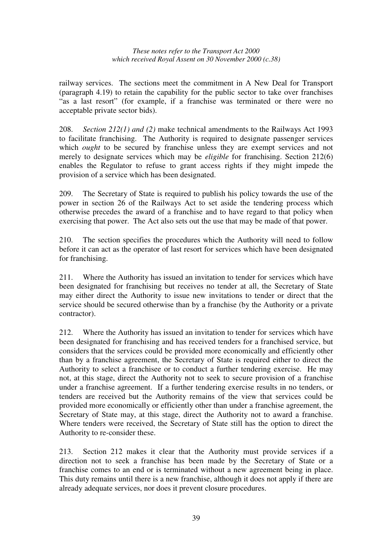railway services. The sections meet the commitment in A New Deal for Transport (paragraph 4.19) to retain the capability for the public sector to take over franchises "as a last resort" (for example, if a franchise was terminated or there were no acceptable private sector bids).

208. *Section 212(1) and (2)* make technical amendments to the Railways Act 1993 to facilitate franchising. The Authority is required to designate passenger services which *ought* to be secured by franchise unless they are exempt services and not merely to designate services which may be *eligible* for franchising. Section 212(6) enables the Regulator to refuse to grant access rights if they might impede the provision of a service which has been designated.

209. The Secretary of State is required to publish his policy towards the use of the power in section 26 of the Railways Act to set aside the tendering process which otherwise precedes the award of a franchise and to have regard to that policy when exercising that power. The Act also sets out the use that may be made of that power.

210. The section specifies the procedures which the Authority will need to follow before it can act as the operator of last resort for services which have been designated for franchising.

211. Where the Authority has issued an invitation to tender for services which have been designated for franchising but receives no tender at all, the Secretary of State may either direct the Authority to issue new invitations to tender or direct that the service should be secured otherwise than by a franchise (by the Authority or a private contractor).

212. Where the Authority has issued an invitation to tender for services which have been designated for franchising and has received tenders for a franchised service, but considers that the services could be provided more economically and efficiently other than by a franchise agreement, the Secretary of State is required either to direct the Authority to select a franchisee or to conduct a further tendering exercise. He may not, at this stage, direct the Authority not to seek to secure provision of a franchise under a franchise agreement. If a further tendering exercise results in no tenders, or tenders are received but the Authority remains of the view that services could be provided more economically or efficiently other than under a franchise agreement, the Secretary of State may, at this stage, direct the Authority not to award a franchise. Where tenders were received, the Secretary of State still has the option to direct the Authority to re-consider these.

213. Section 212 makes it clear that the Authority must provide services if a direction not to seek a franchise has been made by the Secretary of State or a franchise comes to an end or is terminated without a new agreement being in place. This duty remains until there is a new franchise, although it does not apply if there are already adequate services, nor does it prevent closure procedures.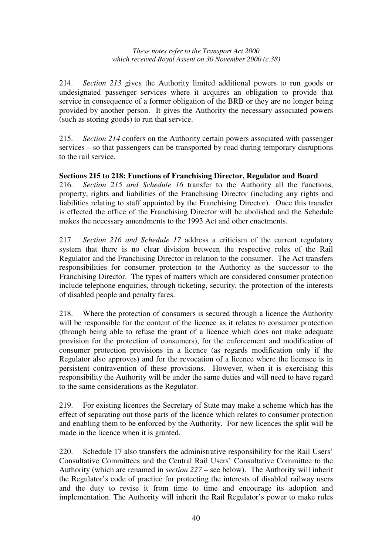214. *Section 213* gives the Authority limited additional powers to run goods or undesignated passenger services where it acquires an obligation to provide that service in consequence of a former obligation of the BRB or they are no longer being provided by another person. It gives the Authority the necessary associated powers (such as storing goods) to run that service.

215. *Section 214* confers on the Authority certain powers associated with passenger services – so that passengers can be transported by road during temporary disruptions to the rail service.

### **Sections 215 to 218: Functions of Franchising Director, Regulator and Board**

216. *Section 215 and Schedule 16* transfer to the Authority all the functions, property, rights and liabilities of the Franchising Director (including any rights and liabilities relating to staff appointed by the Franchising Director). Once this transfer is effected the office of the Franchising Director will be abolished and the Schedule makes the necessary amendments to the 1993 Act and other enactments.

217. *Section 216 and Schedule 17* address a criticism of the current regulatory system that there is no clear division between the respective roles of the Rail Regulator and the Franchising Director in relation to the consumer. The Act transfers responsibilities for consumer protection to the Authority as the successor to the Franchising Director. The types of matters which are considered consumer protection include telephone enquiries, through ticketing, security, the protection of the interests of disabled people and penalty fares.

218. Where the protection of consumers is secured through a licence the Authority will be responsible for the content of the licence as it relates to consumer protection (through being able to refuse the grant of a licence which does not make adequate provision for the protection of consumers), for the enforcement and modification of consumer protection provisions in a licence (as regards modification only if the Regulator also approves) and for the revocation of a licence where the licensee is in persistent contravention of these provisions. However, when it is exercising this responsibility the Authority will be under the same duties and will need to have regard to the same considerations as the Regulator.

219. For existing licences the Secretary of State may make a scheme which has the effect of separating out those parts of the licence which relates to consumer protection and enabling them to be enforced by the Authority. For new licences the split will be made in the licence when it is granted.

220. Schedule 17 also transfers the administrative responsibility for the Rail Users' Consultative Committees and the Central Rail Users' Consultative Committee to the Authority (which are renamed in *section 227* – see below). The Authority will inherit the Regulator's code of practice for protecting the interests of disabled railway users and the duty to revise it from time to time and encourage its adoption and implementation. The Authority will inherit the Rail Regulator's power to make rules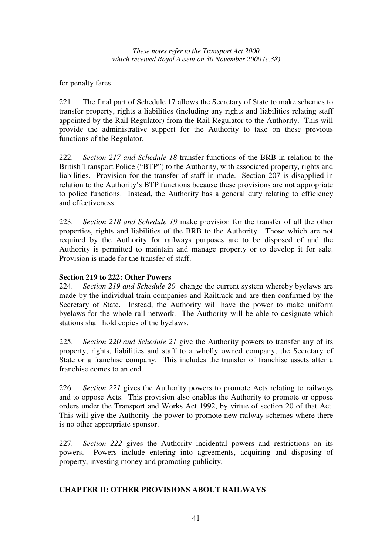for penalty fares.

221. The final part of Schedule 17 allows the Secretary of State to make schemes to transfer property, rights a liabilities (including any rights and liabilities relating staff appointed by the Rail Regulator) from the Rail Regulator to the Authority. This will provide the administrative support for the Authority to take on these previous functions of the Regulator.

222. *Section 217 and Schedule 18* transfer functions of the BRB in relation to the British Transport Police ("BTP") to the Authority, with associated property, rights and liabilities. Provision for the transfer of staff in made. Section 207 is disapplied in relation to the Authority's BTP functions because these provisions are not appropriate to police functions. Instead, the Authority has a general duty relating to efficiency and effectiveness.

223. *Section 218 and Schedule 19* make provision for the transfer of all the other properties, rights and liabilities of the BRB to the Authority. Those which are not required by the Authority for railways purposes are to be disposed of and the Authority is permitted to maintain and manage property or to develop it for sale. Provision is made for the transfer of staff.

### **Section 219 to 222: Other Powers**

224. *Section 219 and Schedule 20* change the current system whereby byelaws are made by the individual train companies and Railtrack and are then confirmed by the Secretary of State. Instead, the Authority will have the power to make uniform byelaws for the whole rail network. The Authority will be able to designate which stations shall hold copies of the byelaws.

225. *Section 220 and Schedule 21* give the Authority powers to transfer any of its property, rights, liabilities and staff to a wholly owned company, the Secretary of State or a franchise company. This includes the transfer of franchise assets after a franchise comes to an end.

226. *Section 221* gives the Authority powers to promote Acts relating to railways and to oppose Acts. This provision also enables the Authority to promote or oppose orders under the Transport and Works Act 1992, by virtue of section 20 of that Act. This will give the Authority the power to promote new railway schemes where there is no other appropriate sponsor.

227. *Section 222* gives the Authority incidental powers and restrictions on its powers. Powers include entering into agreements, acquiring and disposing of property, investing money and promoting publicity.

### **CHAPTER II: OTHER PROVISIONS ABOUT RAILWAYS**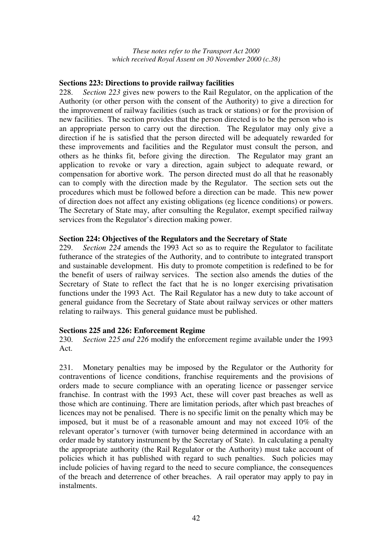#### **Sections 223: Directions to provide railway facilities**

228. *Section 223* gives new powers to the Rail Regulator, on the application of the Authority (or other person with the consent of the Authority) to give a direction for the improvement of railway facilities (such as track or stations) or for the provision of new facilities. The section provides that the person directed is to be the person who is an appropriate person to carry out the direction. The Regulator may only give a direction if he is satisfied that the person directed will be adequately rewarded for these improvements and facilities and the Regulator must consult the person, and others as he thinks fit, before giving the direction. The Regulator may grant an application to revoke or vary a direction, again subject to adequate reward, or compensation for abortive work. The person directed must do all that he reasonably can to comply with the direction made by the Regulator. The section sets out the procedures which must be followed before a direction can be made. This new power of direction does not affect any existing obligations (eg licence conditions) or powers. The Secretary of State may, after consulting the Regulator, exempt specified railway services from the Regulator's direction making power.

#### **Section 224: Objectives of the Regulators and the Secretary of State**

229. *Section 224* amends the 1993 Act so as to require the Regulator to facilitate futherance of the strategies of the Authority, and to contribute to integrated transport and sustainable development. His duty to promote competition is redefined to be for the benefit of users of railway services. The section also amends the duties of the Secretary of State to reflect the fact that he is no longer exercising privatisation functions under the 1993 Act. The Rail Regulator has a new duty to take account of general guidance from the Secretary of State about railway services or other matters relating to railways. This general guidance must be published.

#### **Sections 225 and 226: Enforcement Regime**

230. *Section 225 and 226* modify the enforcement regime available under the 1993 Act.

231. Monetary penalties may be imposed by the Regulator or the Authority for contraventions of licence conditions, franchise requirements and the provisions of orders made to secure compliance with an operating licence or passenger service franchise. In contrast with the 1993 Act, these will cover past breaches as well as those which are continuing. There are limitation periods, after which past breaches of licences may not be penalised. There is no specific limit on the penalty which may be imposed, but it must be of a reasonable amount and may not exceed 10% of the relevant operator's turnover (with turnover being determined in accordance with an order made by statutory instrument by the Secretary of State). In calculating a penalty the appropriate authority (the Rail Regulator or the Authority) must take account of policies which it has published with regard to such penalties. Such policies may include policies of having regard to the need to secure compliance, the consequences of the breach and deterrence of other breaches. A rail operator may apply to pay in instalments.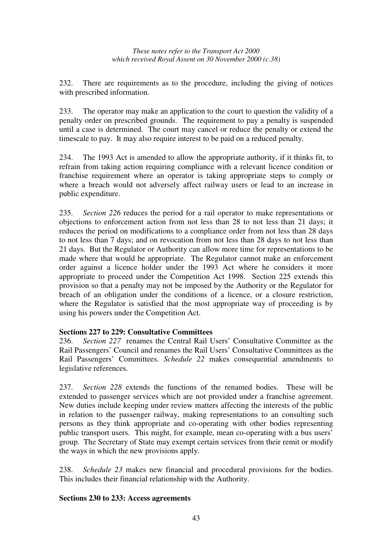232. There are requirements as to the procedure, including the giving of notices with prescribed information.

233. The operator may make an application to the court to question the validity of a penalty order on prescribed grounds. The requirement to pay a penalty is suspended until a case is determined. The court may cancel or reduce the penalty or extend the timescale to pay. It may also require interest to be paid on a reduced penalty.

234. The 1993 Act is amended to allow the appropriate authority, if it thinks fit, to refrain from taking action requiring compliance with a relevant licence condition or franchise requirement where an operator is taking appropriate steps to comply or where a breach would not adversely affect railway users or lead to an increase in public expenditure.

235. *Section 226* reduces the period for a rail operator to make representations or objections to enforcement action from not less than 28 to not less than 21 days; it reduces the period on modifications to a compliance order from not less than 28 days to not less than 7 days; and on revocation from not less than 28 days to not less than 21 days. But the Regulator or Authority can allow more time for representations to be made where that would be appropriate. The Regulator cannot make an enforcement order against a licence holder under the 1993 Act where he considers it more appropriate to proceed under the Competition Act 1998. Section 225 extends this provision so that a penalty may not be imposed by the Authority or the Regulator for breach of an obligation under the conditions of a licence, or a closure restriction, where the Regulator is satisfied that the most appropriate way of proceeding is by using his powers under the Competition Act.

### **Sections 227 to 229: Consultative Committees**

236. *Section 227* renames the Central Rail Users' Consultative Committee as the Rail Passengers' Council and renames the Rail Users' Consultative Committees as the Rail Passengers' Committees. *Schedule 22* makes consequential amendments to legislative references.

237. *Section 228* extends the functions of the renamed bodies. These will be extended to passenger services which are not provided under a franchise agreement. New duties include keeping under review matters affecting the interests of the public in relation to the passenger railway, making representations to an consulting such persons as they think appropriate and co-operating with other bodies representing public transport users. This might, for example, mean co-operating with a bus users' group. The Secretary of State may exempt certain services from their remit or modify the ways in which the new provisions apply.

238. *Schedule 23* makes new financial and procedural provisions for the bodies. This includes their financial relationship with the Authority.

### **Sections 230 to 233: Access agreements**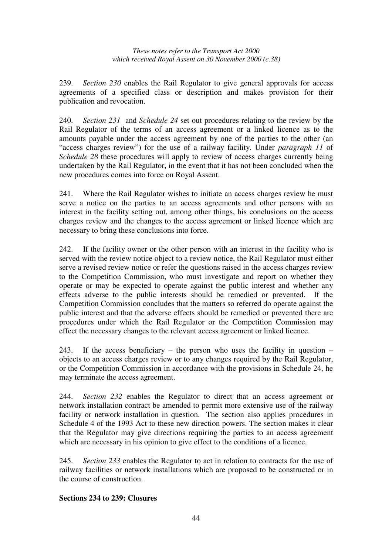239. *Section 230* enables the Rail Regulator to give general approvals for access agreements of a specified class or description and makes provision for their publication and revocation.

240. *Section 231* and *Schedule 24* set out procedures relating to the review by the Rail Regulator of the terms of an access agreement or a linked licence as to the amounts payable under the access agreement by one of the parties to the other (an "access charges review") for the use of a railway facility. Under *paragraph 11* of *Schedule* 28 these procedures will apply to review of access charges currently being undertaken by the Rail Regulator, in the event that it has not been concluded when the new procedures comes into force on Royal Assent.

241. Where the Rail Regulator wishes to initiate an access charges review he must serve a notice on the parties to an access agreements and other persons with an interest in the facility setting out, among other things, his conclusions on the access charges review and the changes to the access agreement or linked licence which are necessary to bring these conclusions into force.

242. If the facility owner or the other person with an interest in the facility who is served with the review notice object to a review notice, the Rail Regulator must either serve a revised review notice or refer the questions raised in the access charges review to the Competition Commission, who must investigate and report on whether they operate or may be expected to operate against the public interest and whether any effects adverse to the public interests should be remedied or prevented. If the Competition Commission concludes that the matters so referred do operate against the public interest and that the adverse effects should be remedied or prevented there are procedures under which the Rail Regulator or the Competition Commission may effect the necessary changes to the relevant access agreement or linked licence.

243. If the access beneficiary – the person who uses the facility in question – objects to an access charges review or to any changes required by the Rail Regulator, or the Competition Commission in accordance with the provisions in Schedule 24, he may terminate the access agreement.

244. *Section 232* enables the Regulator to direct that an access agreement or network installation contract be amended to permit more extensive use of the railway facility or network installation in question. The section also applies procedures in Schedule 4 of the 1993 Act to these new direction powers. The section makes it clear that the Regulator may give directions requiring the parties to an access agreement which are necessary in his opinion to give effect to the conditions of a licence.

245. *Section 233* enables the Regulator to act in relation to contracts for the use of railway facilities or network installations which are proposed to be constructed or in the course of construction.

### **Sections 234 to 239: Closures**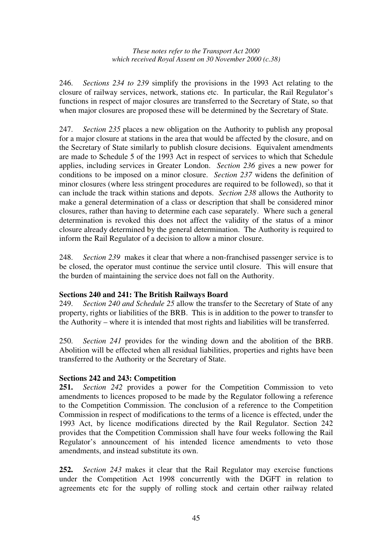246. *Sections 234 to 239* simplify the provisions in the 1993 Act relating to the closure of railway services, network, stations etc. In particular, the Rail Regulator's functions in respect of major closures are transferred to the Secretary of State, so that when major closures are proposed these will be determined by the Secretary of State.

247. *Section 235* places a new obligation on the Authority to publish any proposal for a major closure at stations in the area that would be affected by the closure, and on the Secretary of State similarly to publish closure decisions. Equivalent amendments are made to Schedule 5 of the 1993 Act in respect of services to which that Schedule applies, including services in Greater London. *Section 236* gives a new power for conditions to be imposed on a minor closure. *Section 237* widens the definition of minor closures (where less stringent procedures are required to be followed), so that it can include the track within stations and depots. *Section 238* allows the Authority to make a general determination of a class or description that shall be considered minor closures, rather than having to determine each case separately. Where such a general determination is revoked this does not affect the validity of the status of a minor closure already determined by the general determination. The Authority is required to inform the Rail Regulator of a decision to allow a minor closure.

248. *Section 239* makes it clear that where a non-franchised passenger service is to be closed, the operator must continue the service until closure. This will ensure that the burden of maintaining the service does not fall on the Authority.

### **Sections 240 and 241: The British Railways Board**

249. *Section 240 and Schedule 25* allow the transfer to the Secretary of State of any property, rights or liabilities of the BRB. This is in addition to the power to transfer to the Authority – where it is intended that most rights and liabilities will be transferred.

250. *Section 241* provides for the winding down and the abolition of the BRB. Abolition will be effected when all residual liabilities, properties and rights have been transferred to the Authority or the Secretary of State.

### **Sections 242 and 243: Competition**

**251.** *Section 242* provides a power for the Competition Commission to veto amendments to licences proposed to be made by the Regulator following a reference to the Competition Commission. The conclusion of a reference to the Competition Commission in respect of modifications to the terms of a licence is effected, under the 1993 Act, by licence modifications directed by the Rail Regulator. Section 242 provides that the Competition Commission shall have four weeks following the Rail Regulator's announcement of his intended licence amendments to veto those amendments, and instead substitute its own.

**252.** *Section 243* makes it clear that the Rail Regulator may exercise functions under the Competition Act 1998 concurrently with the DGFT in relation to agreements etc for the supply of rolling stock and certain other railway related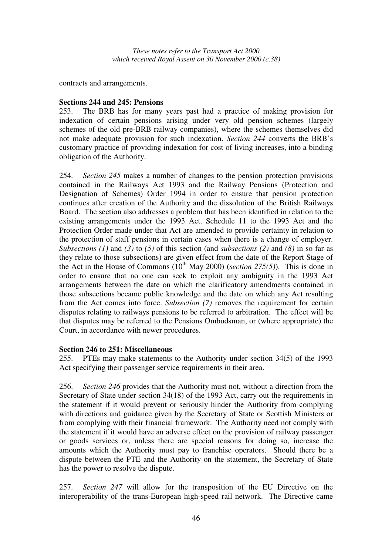contracts and arrangements.

#### **Sections 244 and 245: Pensions**

253. The BRB has for many years past had a practice of making provision for indexation of certain pensions arising under very old pension schemes (largely schemes of the old pre-BRB railway companies), where the schemes themselves did not make adequate provision for such indexation. *Section 244* converts the BRB's customary practice of providing indexation for cost of living increases, into a binding obligation of the Authority.

254. *Section 245* makes a number of changes to the pension protection provisions contained in the Railways Act 1993 and the Railway Pensions (Protection and Designation of Schemes) Order 1994 in order to ensure that pension protection continues after creation of the Authority and the dissolution of the British Railways Board. The section also addresses a problem that has been identified in relation to the existing arrangements under the 1993 Act. Schedule 11 to the 1993 Act and the Protection Order made under that Act are amended to provide certainty in relation to the protection of staff pensions in certain cases when there is a change of employer. *Subsections (1)* and *(3)* to *(5)* of this section (and *subsections (2)* and *(8)* in so far as they relate to those subsections) are given effect from the date of the Report Stage of the Act in the House of Commons ( $10^{th}$  May 2000) (*section 275(5)*). This is done in order to ensure that no one can seek to exploit any ambiguity in the 1993 Act arrangements between the date on which the clarificatory amendments contained in those subsections became public knowledge and the date on which any Act resulting from the Act comes into force. *Subsection (7)* removes the requirement for certain disputes relating to railways pensions to be referred to arbitration. The effect will be that disputes may be referred to the Pensions Ombudsman, or (where appropriate) the Court, in accordance with newer procedures.

#### **Section 246 to 251: Miscellaneous**

255. PTEs may make statements to the Authority under section 34(5) of the 1993 Act specifying their passenger service requirements in their area.

256. *Section 246* provides that the Authority must not, without a direction from the Secretary of State under section 34(18) of the 1993 Act, carry out the requirements in the statement if it would prevent or seriously hinder the Authority from complying with directions and guidance given by the Secretary of State or Scottish Ministers or from complying with their financial framework. The Authority need not comply with the statement if it would have an adverse effect on the provision of railway passenger or goods services or, unless there are special reasons for doing so, increase the amounts which the Authority must pay to franchise operators. Should there be a dispute between the PTE and the Authority on the statement, the Secretary of State has the power to resolve the dispute.

257. *Section 247* will allow for the transposition of the EU Directive on the interoperability of the trans-European high-speed rail network. The Directive came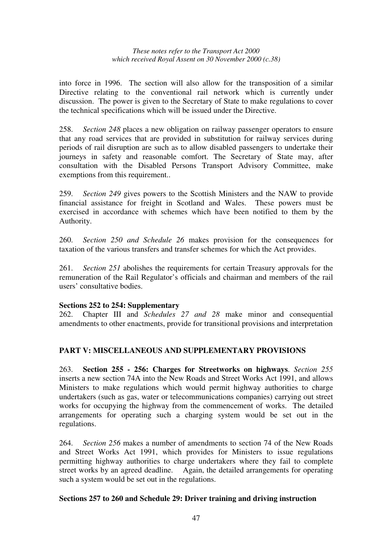into force in 1996. The section will also allow for the transposition of a similar Directive relating to the conventional rail network which is currently under discussion. The power is given to the Secretary of State to make regulations to cover the technical specifications which will be issued under the Directive.

258. *Section 248* places a new obligation on railway passenger operators to ensure that any road services that are provided in substitution for railway services during periods of rail disruption are such as to allow disabled passengers to undertake their journeys in safety and reasonable comfort. The Secretary of State may, after consultation with the Disabled Persons Transport Advisory Committee, make exemptions from this requirement..

259. *Section 249* gives powers to the Scottish Ministers and the NAW to provide financial assistance for freight in Scotland and Wales. These powers must be exercised in accordance with schemes which have been notified to them by the Authority.

260. *Section 250 and Schedule 26* makes provision for the consequences for taxation of the various transfers and transfer schemes for which the Act provides.

261. *Section 251* abolishes the requirements for certain Treasury approvals for the remuneration of the Rail Regulator's officials and chairman and members of the rail users' consultative bodies.

#### **Sections 252 to 254: Supplementary**

262. Chapter III and *Schedules 27 and 28* make minor and consequential amendments to other enactments, provide for transitional provisions and interpretation

### **PART V: MISCELLANEOUS AND SUPPLEMENTARY PROVISIONS**

263. **Section 255 - 256: Charges for Streetworks on highways**. *Section 255* inserts a new section 74A into the New Roads and Street Works Act 1991, and allows Ministers to make regulations which would permit highway authorities to charge undertakers (such as gas, water or telecommunications companies) carrying out street works for occupying the highway from the commencement of works. The detailed arrangements for operating such a charging system would be set out in the regulations.

264. *Section 256* makes a number of amendments to section 74 of the New Roads and Street Works Act 1991, which provides for Ministers to issue regulations permitting highway authorities to charge undertakers where they fail to complete street works by an agreed deadline. Again, the detailed arrangements for operating such a system would be set out in the regulations.

#### **Sections 257 to 260 and Schedule 29: Driver training and driving instruction**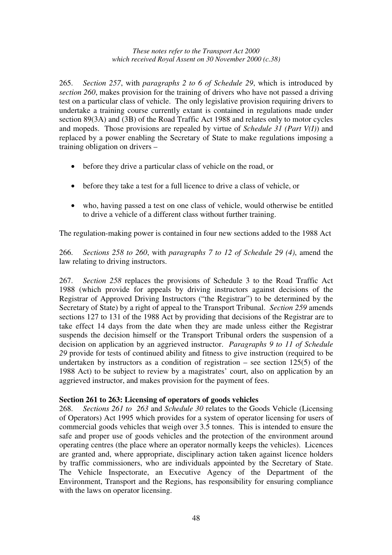265. *Section 257*, with *paragraphs 2 to 6 of Schedule 29*, which is introduced by *section 260*, makes provision for the training of drivers who have not passed a driving test on a particular class of vehicle. The only legislative provision requiring drivers to undertake a training course currently extant is contained in regulations made under section 89(3A) and (3B) of the Road Traffic Act 1988 and relates only to motor cycles and mopeds. Those provisions are repealed by virtue of *Schedule 31 (Part V(I)*) and replaced by a power enabling the Secretary of State to make regulations imposing a training obligation on drivers –

- before they drive a particular class of vehicle on the road, or
- before they take a test for a full licence to drive a class of vehicle, or
- who, having passed a test on one class of vehicle, would otherwise be entitled to drive a vehicle of a different class without further training.

The regulation-making power is contained in four new sections added to the 1988 Act

266. *Sections 258 to 260*, with *paragraphs 7 to 12 of Schedule 29 (4)*, amend the law relating to driving instructors.

267. *Section 258* replaces the provisions of Schedule 3 to the Road Traffic Act 1988 (which provide for appeals by driving instructors against decisions of the Registrar of Approved Driving Instructors ("the Registrar") to be determined by the Secretary of State) by a right of appeal to the Transport Tribunal. *Section 259* amends sections 127 to 131 of the 1988 Act by providing that decisions of the Registrar are to take effect 14 days from the date when they are made unless either the Registrar suspends the decision himself or the Transport Tribunal orders the suspension of a decision on application by an aggrieved instructor. *Paragraphs 9 to 11 of Schedule 29* provide for tests of continued ability and fitness to give instruction (required to be undertaken by instructors as a condition of registration – see section  $125(5)$  of the 1988 Act) to be subject to review by a magistrates' court, also on application by an aggrieved instructor, and makes provision for the payment of fees.

#### **Section 261 to 263: Licensing of operators of goods vehicles**

268. *Sections 261 to 263* and *Schedule 30* relates to the Goods Vehicle (Licensing of Operators) Act 1995 which provides for a system of operator licensing for users of commercial goods vehicles that weigh over 3.5 tonnes. This is intended to ensure the safe and proper use of goods vehicles and the protection of the environment around operating centres (the place where an operator normally keeps the vehicles). Licences are granted and, where appropriate, disciplinary action taken against licence holders by traffic commissioners, who are individuals appointed by the Secretary of State. The Vehicle Inspectorate, an Executive Agency of the Department of the Environment, Transport and the Regions, has responsibility for ensuring compliance with the laws on operator licensing.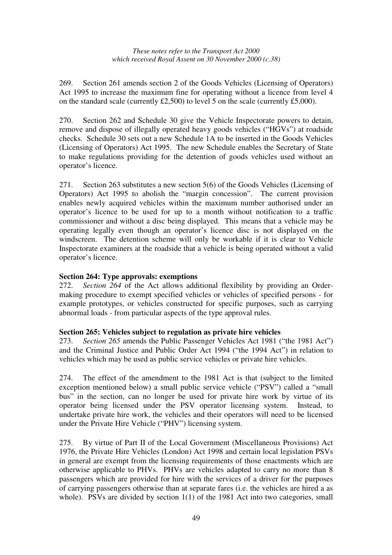269. Section 261 amends section 2 of the Goods Vehicles (Licensing of Operators) Act 1995 to increase the maximum fine for operating without a licence from level 4 on the standard scale (currently £2,500) to level 5 on the scale (currently £5,000).

270. Section 262 and Schedule 30 give the Vehicle Inspectorate powers to detain, remove and dispose of illegally operated heavy goods vehicles ("HGVs") at roadside checks. Schedule 30 sets out a new Schedule 1A to be inserted in the Goods Vehicles (Licensing of Operators) Act 1995. The new Schedule enables the Secretary of State to make regulations providing for the detention of goods vehicles used without an operator's licence.

271. Section 263 substitutes a new section 5(6) of the Goods Vehicles (Licensing of Operators) Act 1995 to abolish the "margin concession". The current provision enables newly acquired vehicles within the maximum number authorised under an operator's licence to be used for up to a month without notification to a traffic commissioner and without a disc being displayed. This means that a vehicle may be operating legally even though an operator's licence disc is not displayed on the windscreen. The detention scheme will only be workable if it is clear to Vehicle Inspectorate examiners at the roadside that a vehicle is being operated without a valid operator's licence.

### **Section 264: Type approvals: exemptions**

272. *Section 264* of the Act allows additional flexibility by providing an Ordermaking procedure to exempt specified vehicles or vehicles of specified persons - for example prototypes, or vehicles constructed for specific purposes, such as carrying abnormal loads - from particular aspects of the type approval rules.

### **Section 265: Vehicles subject to regulation as private hire vehicles**

273. *Section 265* amends the Public Passenger Vehicles Act 1981 ("the 1981 Act") and the Criminal Justice and Public Order Act 1994 ("the 1994 Act") in relation to vehicles which may be used as public service vehicles or private hire vehicles.

274. The effect of the amendment to the 1981 Act is that (subject to the limited exception mentioned below) a small public service vehicle ("PSV") called a "small bus" in the section, can no longer be used for private hire work by virtue of its operator being licensed under the PSV operator licensing system. Instead, to undertake private hire work, the vehicles and their operators will need to be licensed under the Private Hire Vehicle ("PHV") licensing system.

275. By virtue of Part II of the Local Government (Miscellaneous Provisions) Act 1976, the Private Hire Vehicles (London) Act 1998 and certain local legislation PSVs in general are exempt from the licensing requirements of those enactments which are otherwise applicable to PHVs. PHVs are vehicles adapted to carry no more than 8 passengers which are provided for hire with the services of a driver for the purposes of carrying passengers otherwise than at separate fares (i.e. the vehicles are hired a as whole). PSVs are divided by section 1(1) of the 1981 Act into two categories, small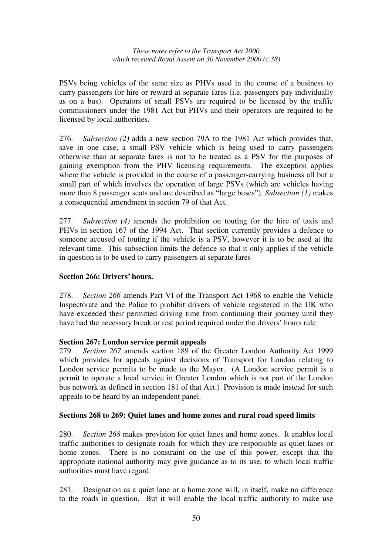PSVs being vehicles of the same size as PHVs used in the course of a business to carry passengers for hire or reward at separate fares (i.e. passengers pay individually as on a bus). Operators of small PSVs are required to be licensed by the traffic commissioners under the 1981 Act but PHVs and their operators are required to be licensed by local authorities.

276. *Subsection (2)* adds a new section 79A to the 1981 Act which provides that, save in one case, a small PSV vehicle which is being used to carry passengers otherwise than at separate fares is not to be treated as a PSV for the purposes of gaining exemption from the PHV licensing requirements. The exception applies where the vehicle is provided in the course of a passenger-carrying business all but a small part of which involves the operation of large PSVs (which are vehicles having more than 8 passenger seats and are described as "large buses"). *Subsection (1)* makes a consequential amendment in section 79 of that Act.

277. *Subsection (4)* amends the prohibition on touting for the hire of taxis and PHVs in section 167 of the 1994 Act. That section currently provides a defence to someone accused of touting if the vehicle is a PSV, however it is to be used at the relevant time. This subsection limits the defence so that it only applies if the vehicle in question is to be used to carry passengers at separate fares

### **Section 266: Drivers' hours.**

278. *Section 266* amends Part VI of the Transport Act 1968 to enable the Vehicle Inspectorate and the Police to prohibit drivers of vehicle registered in the UK who have exceeded their permitted driving time from continuing their journey until they have had the necessary break or rest period required under the drivers' hours rule

### **Section 267: London service permit appeals**

279. *Section 267* amends section 189 of the Greater London Authority Act 1999 which provides for appeals against decisions of Transport for London relating to London service permits to be made to the Mayor. (A London service permit is a permit to operate a local service in Greater London which is not part of the London bus network as defined in section 181 of that Act.) Provision is made instead for such appeals to be heard by an independent panel.

### **Sections 268 to 269: Quiet lanes and home zones and rural road speed limits**

280. *Section 268* makes provision for quiet lanes and home zones. It enables local traffic authorities to designate roads for which they are responsible as quiet lanes or home zones. There is no constraint on the use of this power, except that the appropriate national authority may give guidance as to its use, to which local traffic authorities must have regard.

281. Designation as a quiet lane or a home zone will, in itself, make no difference to the roads in question. But it will enable the local traffic authority to make use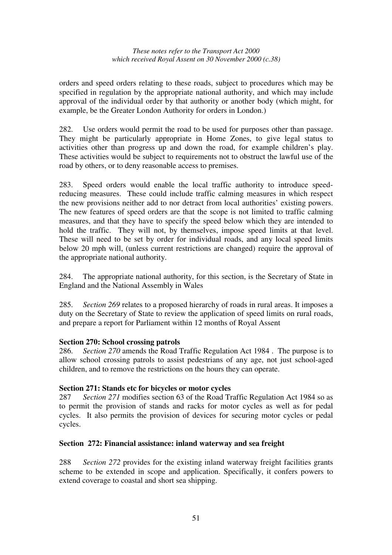orders and speed orders relating to these roads, subject to procedures which may be specified in regulation by the appropriate national authority, and which may include approval of the individual order by that authority or another body (which might, for example, be the Greater London Authority for orders in London.)

282. Use orders would permit the road to be used for purposes other than passage. They might be particularly appropriate in Home Zones, to give legal status to activities other than progress up and down the road, for example children's play. These activities would be subject to requirements not to obstruct the lawful use of the road by others, or to deny reasonable access to premises.

283. Speed orders would enable the local traffic authority to introduce speedreducing measures. These could include traffic calming measures in which respect the new provisions neither add to nor detract from local authorities' existing powers. The new features of speed orders are that the scope is not limited to traffic calming measures, and that they have to specify the speed below which they are intended to hold the traffic. They will not, by themselves, impose speed limits at that level. These will need to be set by order for individual roads, and any local speed limits below 20 mph will, (unless current restrictions are changed) require the approval of the appropriate national authority.

284. The appropriate national authority, for this section, is the Secretary of State in England and the National Assembly in Wales

285. *Section 269* relates to a proposed hierarchy of roads in rural areas. It imposes a duty on the Secretary of State to review the application of speed limits on rural roads, and prepare a report for Parliament within 12 months of Royal Assent

### **Section 270: School crossing patrols**

286. *Section 270* amends the Road Traffic Regulation Act 1984 . The purpose is to allow school crossing patrols to assist pedestrians of any age, not just school-aged children, and to remove the restrictions on the hours they can operate.

#### **Section 271: Stands etc for bicycles or motor cycles**

287 *Section 271* modifies section 63 of the Road Traffic Regulation Act 1984 so as to permit the provision of stands and racks for motor cycles as well as for pedal cycles. It also permits the provision of devices for securing motor cycles or pedal cycles.

#### **Section 272: Financial assistance: inland waterway and sea freight**

288 *Section 272* provides for the existing inland waterway freight facilities grants scheme to be extended in scope and application. Specifically, it confers powers to extend coverage to coastal and short sea shipping.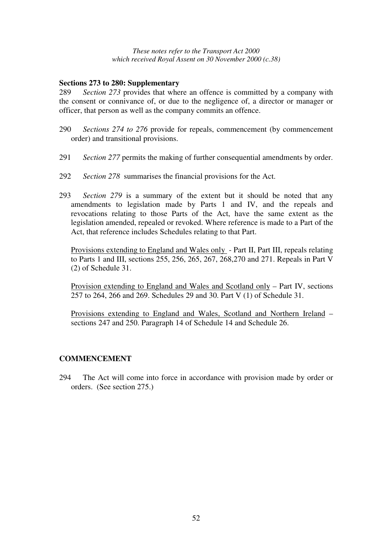#### **Sections 273 to 280: Supplementary**

289 *Section 273* provides that where an offence is committed by a company with the consent or connivance of, or due to the negligence of, a director or manager or officer, that person as well as the company commits an offence.

- 290 *Sections 274 to 276* provide for repeals, commencement (by commencement order) and transitional provisions.
- 291 *Section 277* permits the making of further consequential amendments by order.
- 292 *Section 278* summarises the financial provisions for the Act.
- 293 *Section 279* is a summary of the extent but it should be noted that any amendments to legislation made by Parts 1 and IV, and the repeals and revocations relating to those Parts of the Act, have the same extent as the legislation amended, repealed or revoked. Where reference is made to a Part of the Act, that reference includes Schedules relating to that Part.

Provisions extending to England and Wales only - Part II, Part III, repeals relating to Parts 1 and III, sections 255, 256, 265, 267, 268,270 and 271. Repeals in Part V (2) of Schedule 31.

Provision extending to England and Wales and Scotland only – Part IV, sections 257 to 264, 266 and 269. Schedules 29 and 30. Part V (1) of Schedule 31.

Provisions extending to England and Wales, Scotland and Northern Ireland – sections 247 and 250. Paragraph 14 of Schedule 14 and Schedule 26.

#### **COMMENCEMENT**

294 The Act will come into force in accordance with provision made by order or orders. (See section 275.)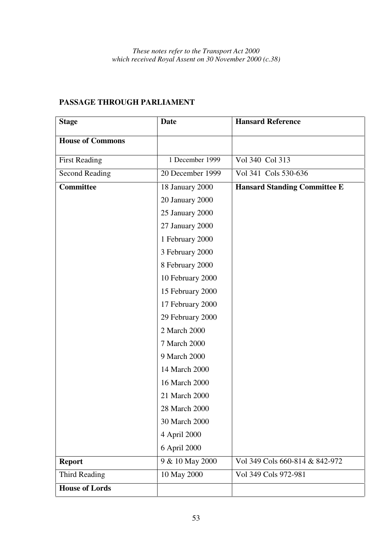| <b>Stage</b>            | <b>Date</b>      | <b>Hansard Reference</b>            |
|-------------------------|------------------|-------------------------------------|
| <b>House of Commons</b> |                  |                                     |
| <b>First Reading</b>    | 1 December 1999  | Vol 340 Col 313                     |
| <b>Second Reading</b>   | 20 December 1999 | Vol 341 Cols 530-636                |
| <b>Committee</b>        | 18 January 2000  | <b>Hansard Standing Committee E</b> |
|                         | 20 January 2000  |                                     |
|                         | 25 January 2000  |                                     |
|                         | 27 January 2000  |                                     |
|                         | 1 February 2000  |                                     |
|                         | 3 February 2000  |                                     |
|                         | 8 February 2000  |                                     |
|                         | 10 February 2000 |                                     |
|                         | 15 February 2000 |                                     |
|                         | 17 February 2000 |                                     |
|                         | 29 February 2000 |                                     |
|                         | 2 March 2000     |                                     |
|                         | 7 March 2000     |                                     |
|                         | 9 March 2000     |                                     |
|                         | 14 March 2000    |                                     |
|                         | 16 March 2000    |                                     |
|                         | 21 March 2000    |                                     |
|                         | 28 March 2000    |                                     |
|                         | 30 March 2000    |                                     |
|                         | 4 April 2000     |                                     |
|                         | 6 April 2000     |                                     |
| <b>Report</b>           | 9 & 10 May 2000  | Vol 349 Cols 660-814 & 842-972      |
| <b>Third Reading</b>    | 10 May 2000      | Vol 349 Cols 972-981                |
| <b>House of Lords</b>   |                  |                                     |

# **PASSAGE THROUGH PARLIAMENT**